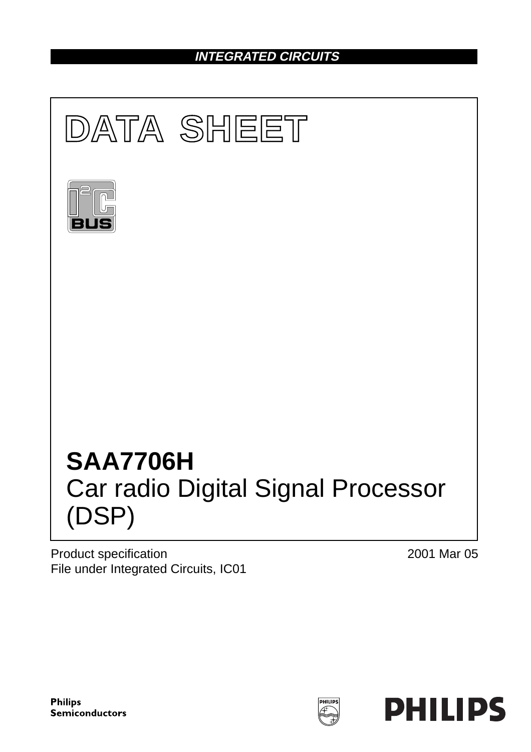# **INTEGRATED CIRCUITS**



Product specification File under Integrated Circuits, IC01 2001 Mar 05



HILIP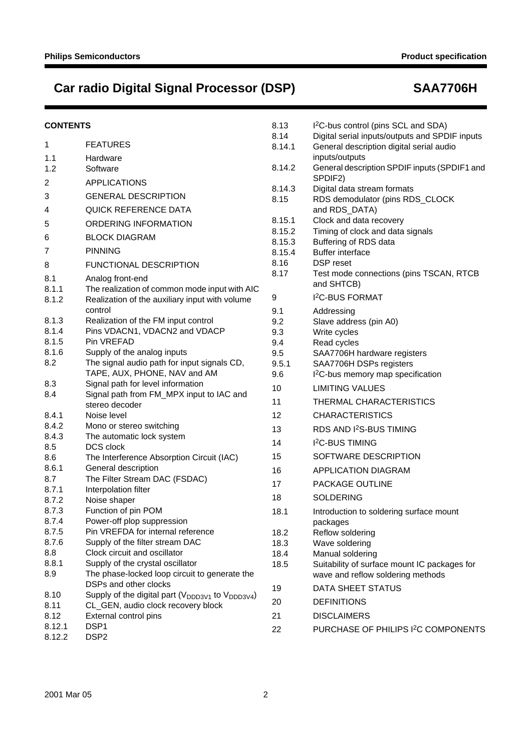| <b>CONTENTS</b> |                                                                                                 | 8.13<br>8.14   | I <sup>2</sup> C-bus control (pins SCL and SDA)<br>Digital serial inputs/outputs and SPDIF inputs |
|-----------------|-------------------------------------------------------------------------------------------------|----------------|---------------------------------------------------------------------------------------------------|
| 1               | <b>FEATURES</b>                                                                                 | 8.14.1         | General description digital serial audio                                                          |
| 1.1             | Hardware                                                                                        |                | inputs/outputs                                                                                    |
| 1.2             | Software                                                                                        | 8.14.2         | General description SPDIF inputs (SPDIF1 and                                                      |
| 2               | <b>APPLICATIONS</b>                                                                             |                | SPDIF2)                                                                                           |
| 3               | <b>GENERAL DESCRIPTION</b>                                                                      | 8.14.3<br>8.15 | Digital data stream formats<br>RDS demodulator (pins RDS_CLOCK                                    |
| 4               | <b>QUICK REFERENCE DATA</b>                                                                     |                | and RDS_DATA)                                                                                     |
| 5               | ORDERING INFORMATION                                                                            | 8.15.1         | Clock and data recovery                                                                           |
| 6               | <b>BLOCK DIAGRAM</b>                                                                            | 8.15.2         | Timing of clock and data signals                                                                  |
|                 | <b>PINNING</b>                                                                                  | 8.15.3         | Buffering of RDS data                                                                             |
| 7               |                                                                                                 | 8.15.4<br>8.16 | <b>Buffer interface</b><br>DSP reset                                                              |
| 8               | <b>FUNCTIONAL DESCRIPTION</b>                                                                   | 8.17           | Test mode connections (pins TSCAN, RTCB                                                           |
| 8.1             | Analog front-end                                                                                |                | and SHTCB)                                                                                        |
| 8.1.1<br>8.1.2  | The realization of common mode input with AIC<br>Realization of the auxiliary input with volume | 9              | <b>I<sup>2</sup>C-BUS FORMAT</b>                                                                  |
|                 | control                                                                                         | 9.1            | Addressing                                                                                        |
| 8.1.3           | Realization of the FM input control                                                             | 9.2            | Slave address (pin A0)                                                                            |
| 8.1.4           | Pins VDACN1, VDACN2 and VDACP                                                                   | 9.3            | Write cycles                                                                                      |
| 8.1.5           | Pin VREFAD                                                                                      | 9.4            | Read cycles                                                                                       |
| 8.1.6           | Supply of the analog inputs                                                                     | 9.5            | SAA7706H hardware registers                                                                       |
| 8.2             | The signal audio path for input signals CD,                                                     | 9.5.1          | SAA7706H DSPs registers                                                                           |
|                 | TAPE, AUX, PHONE, NAV and AM                                                                    | 9.6            | I <sup>2</sup> C-bus memory map specification                                                     |
| 8.3             | Signal path for level information                                                               | 10             | <b>LIMITING VALUES</b>                                                                            |
| 8.4             | Signal path from FM_MPX input to IAC and<br>stereo decoder                                      | 11             | THERMAL CHARACTERISTICS                                                                           |
| 8.4.1           | Noise level                                                                                     | 12             | <b>CHARACTERISTICS</b>                                                                            |
| 8.4.2           | Mono or stereo switching                                                                        | 13             | RDS AND I <sup>2</sup> S-BUS TIMING                                                               |
| 8.4.3           | The automatic lock system                                                                       |                |                                                                                                   |
| 8.5             | DCS clock                                                                                       | 14             | I <sup>2</sup> C-BUS TIMING                                                                       |
| 8.6             | The Interference Absorption Circuit (IAC)                                                       | 15             | SOFTWARE DESCRIPTION                                                                              |
| 8.6.1           | General description                                                                             | 16             | <b>APPLICATION DIAGRAM</b>                                                                        |
| 8.7<br>8.7.1    | The Filter Stream DAC (FSDAC)<br>Interpolation filter                                           | 17             | PACKAGE OUTLINE                                                                                   |
| 8.7.2           | Noise shaper                                                                                    | 18             | <b>SOLDERING</b>                                                                                  |
| 8.7.3           | Function of pin POM                                                                             | 18.1           | Introduction to soldering surface mount                                                           |
| 8.7.4           | Power-off plop suppression                                                                      |                | packages                                                                                          |
| 8.7.5           | Pin VREFDA for internal reference                                                               | 18.2           | Reflow soldering                                                                                  |
| 8.7.6           | Supply of the filter stream DAC                                                                 | 18.3           | Wave soldering                                                                                    |
| 8.8             | Clock circuit and oscillator                                                                    | 18.4           | Manual soldering                                                                                  |
| 8.8.1           | Supply of the crystal oscillator                                                                | 18.5           | Suitability of surface mount IC packages for                                                      |
| 8.9             | The phase-locked loop circuit to generate the                                                   |                | wave and reflow soldering methods                                                                 |
|                 | DSPs and other clocks                                                                           | 19             | DATA SHEET STATUS                                                                                 |
| 8.10            | Supply of the digital part ( $V_{\text{DDD3V1}}$ to $V_{\text{DDD3V4}}$ )                       | 20             | <b>DEFINITIONS</b>                                                                                |
| 8.11<br>8.12    | CL_GEN, audio clock recovery block<br>External control pins                                     | 21             | <b>DISCLAIMERS</b>                                                                                |
| 8.12.1          | DSP1                                                                                            |                |                                                                                                   |
| 8.12.2          | DSP <sub>2</sub>                                                                                | 22             | PURCHASE OF PHILIPS I <sup>2</sup> C COMPONENTS                                                   |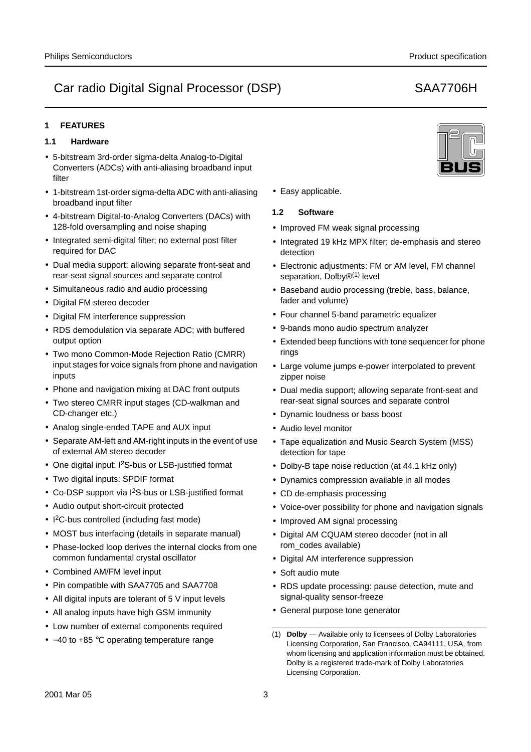# **1 FEATURES**

## **1.1 Hardware**

- 5-bitstream 3rd-order sigma-delta Analog-to-Digital Converters (ADCs) with anti-aliasing broadband input filter
- 1-bitstream 1st-order sigma-delta ADC with anti-aliasing broadband input filter
- 4-bitstream Digital-to-Analog Converters (DACs) with 128-fold oversampling and noise shaping
- Integrated semi-digital filter; no external post filter required for DAC
- Dual media support: allowing separate front-seat and rear-seat signal sources and separate control
- Simultaneous radio and audio processing
- Digital FM stereo decoder
- Digital FM interference suppression
- RDS demodulation via separate ADC; with buffered output option
- Two mono Common-Mode Rejection Ratio (CMRR) input stages for voice signals from phone and navigation inputs
- Phone and navigation mixing at DAC front outputs
- Two stereo CMRR input stages (CD-walkman and CD-changer etc.)
- Analog single-ended TAPE and AUX input
- Separate AM-left and AM-right inputs in the event of use of external AM stereo decoder
- One digital input: I2S-bus or LSB-justified format
- Two digital inputs: SPDIF format
- Co-DSP support via I2S-bus or LSB-justified format
- Audio output short-circuit protected
- I 2C-bus controlled (including fast mode)
- MOST bus interfacing (details in separate manual)
- Phase-locked loop derives the internal clocks from one common fundamental crystal oscillator
- Combined AM/FM level input
- Pin compatible with SAA7705 and SAA7708
- All digital inputs are tolerant of 5 V input levels
- All analog inputs have high GSM immunity
- Low number of external components required
- −40 to +85 °C operating temperature range



## **1.2 Software**

- Improved FM weak signal processing
- Integrated 19 kHz MPX filter; de-emphasis and stereo detection
- Electronic adjustments: FM or AM level, FM channel separation, Dolby<sup>®(1)</sup> level
- Baseband audio processing (treble, bass, balance, fader and volume)
- Four channel 5-band parametric equalizer
- 9-bands mono audio spectrum analyzer
- Extended beep functions with tone sequencer for phone rings
- Large volume jumps e-power interpolated to prevent zipper noise
- Dual media support; allowing separate front-seat and rear-seat signal sources and separate control
- Dynamic loudness or bass boost
- Audio level monitor
- Tape equalization and Music Search System (MSS) detection for tape
- Dolby-B tape noise reduction (at 44.1 kHz only)
- Dynamics compression available in all modes
- CD de-emphasis processing
- Voice-over possibility for phone and navigation signals
- Improved AM signal processing
- Digital AM CQUAM stereo decoder (not in all rom\_codes available)
- Digital AM interference suppression
- Soft audio mute
- RDS update processing: pause detection, mute and signal-quality sensor-freeze
- General purpose tone generator
- (1) **Dolby** Available only to licensees of Dolby Laboratories Licensing Corporation, San Francisco, CA94111, USA, from whom licensing and application information must be obtained. Dolby is a registered trade-mark of Dolby Laboratories Licensing Corporation.

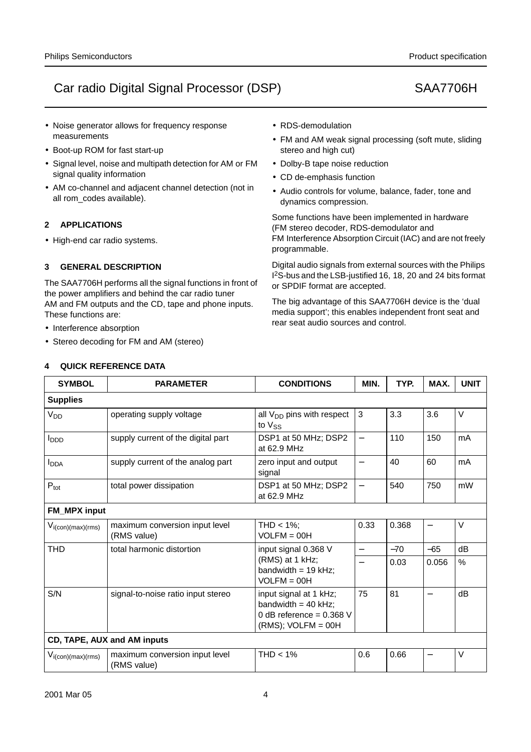- Noise generator allows for frequency response measurements
- Boot-up ROM for fast start-up
- Signal level, noise and multipath detection for AM or FM signal quality information
- AM co-channel and adjacent channel detection (not in all rom\_codes available).

# **2 APPLICATIONS**

• High-end car radio systems.

# **3 GENERAL DESCRIPTION**

The SAA7706H performs all the signal functions in front of the power amplifiers and behind the car radio tuner AM and FM outputs and the CD, tape and phone inputs. These functions are:

- Interference absorption
- Stereo decoding for FM and AM (stereo)

# **4 QUICK REFERENCE DATA**

- RDS-demodulation
- FM and AM weak signal processing (soft mute, sliding stereo and high cut)
- Dolby-B tape noise reduction
- CD de-emphasis function
- Audio controls for volume, balance, fader, tone and dynamics compression.

Some functions have been implemented in hardware (FM stereo decoder, RDS-demodulator and FM Interference Absorption Circuit (IAC) and are not freely programmable.

Digital audio signals from external sources with the Philips I 2S-bus and the LSB-justified 16, 18, 20 and 24 bits format or SPDIF format are accepted.

The big advantage of this SAA7706H device is the 'dual media support'; this enables independent front seat and rear seat audio sources and control.

| <b>SYMBOL</b>                               | <b>PARAMETER</b>                                               | <b>CONDITIONS</b>                                                                                      | MIN.                     | TYP.  | MAX.                     | <b>UNIT</b> |  |  |  |
|---------------------------------------------|----------------------------------------------------------------|--------------------------------------------------------------------------------------------------------|--------------------------|-------|--------------------------|-------------|--|--|--|
| <b>Supplies</b>                             |                                                                |                                                                                                        |                          |       |                          |             |  |  |  |
| V <sub>DD</sub>                             | operating supply voltage                                       | all $V_{DD}$ pins with respect<br>to $V_{SS}$                                                          | 3                        | 3.3   | 3.6                      | $\vee$      |  |  |  |
| l <sub>DDD</sub>                            | supply current of the digital part                             | DSP1 at 50 MHz; DSP2<br>at 62.9 MHz                                                                    | $\overline{\phantom{0}}$ | 110   | 150                      | mA          |  |  |  |
| <b>I</b> <sub>DDA</sub>                     | supply current of the analog part                              | zero input and output<br>signal                                                                        |                          | 40    | 60                       | mA          |  |  |  |
| $P_{\text{tot}}$                            | total power dissipation<br>DSP1 at 50 MHz; DSP2<br>at 62.9 MHz |                                                                                                        | $\qquad \qquad -$        | 540   | 750                      | mW          |  |  |  |
| <b>FM_MPX</b> input                         |                                                                |                                                                                                        |                          |       |                          |             |  |  |  |
| $V_{i(\text{con})(\text{max})(\text{rms})}$ | maximum conversion input level<br>(RMS value)                  | THD $<$ 1%:<br>$VOLFM = 00H$                                                                           | 0.33                     | 0.368 | $\qquad \qquad -$        | V           |  |  |  |
| <b>THD</b>                                  | total harmonic distortion                                      | input signal 0.368 V                                                                                   | $\overline{\phantom{0}}$ | $-70$ | $-65$                    | dB          |  |  |  |
|                                             |                                                                | (RMS) at 1 kHz;<br>bandwidth = $19$ kHz;<br>$VOLFM = OOH$                                              | $\overline{\phantom{0}}$ | 0.03  | 0.056                    | $\%$        |  |  |  |
| S/N                                         | signal-to-noise ratio input stereo                             | input signal at 1 kHz;<br>bandwidth = $40$ kHz;<br>0 dB reference = $0.368$ V<br>$(RMS)$ ; VOLFM = 00H | 75                       | 81    | $\overline{\phantom{0}}$ | dB          |  |  |  |
|                                             | CD, TAPE, AUX and AM inputs                                    |                                                                                                        |                          |       |                          |             |  |  |  |
| $V_{i(\text{con})(\text{max})(\text{rms})}$ | maximum conversion input level<br>(RMS value)                  | $THD < 1\%$                                                                                            | 0.6                      | 0.66  |                          | $\vee$      |  |  |  |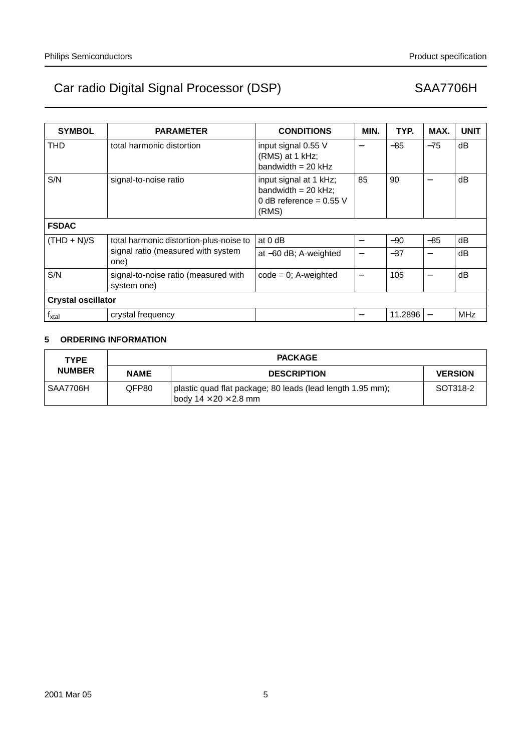| <b>SYMBOL</b>             | <b>PARAMETER</b>                                    | <b>CONDITIONS</b>                                                                     | MIN.                     | TYP.    | MAX.  | <b>UNIT</b> |
|---------------------------|-----------------------------------------------------|---------------------------------------------------------------------------------------|--------------------------|---------|-------|-------------|
| THD                       | total harmonic distortion                           | input signal 0.55 V<br>(RMS) at 1 kHz;<br>bandwidth = $20$ kHz                        | —                        | $-85$   | $-75$ | dB          |
| S/N                       | signal-to-noise ratio                               | input signal at 1 kHz;<br>bandwidth = $20$ kHz;<br>0 dB reference = $0.55$ V<br>(RMS) | 85                       | 90      |       | dB          |
| <b>FSDAC</b>              |                                                     |                                                                                       |                          |         |       |             |
| $(THD + N)/S$             | total harmonic distortion-plus-noise to             | at $0$ dB                                                                             | $\overline{\phantom{0}}$ | $-90$   | $-85$ | dB          |
|                           | signal ratio (measured with system<br>one)          | at $-60$ dB; A-weighted                                                               | —                        | $-37$   |       | dB          |
| S/N                       | signal-to-noise ratio (measured with<br>system one) | $code = 0$ ; A-weighted                                                               | $\overline{\phantom{0}}$ | 105     |       | dB          |
| <b>Crystal oscillator</b> |                                                     |                                                                                       |                          |         |       |             |
| $f_{xtal}$                | crystal frequency                                   |                                                                                       |                          | 11.2896 |       | <b>MHz</b>  |

# **5 ORDERING INFORMATION**

| <b>TYPE</b>   | <b>PACKAGE</b> |                                                                                                 |                |  |  |
|---------------|----------------|-------------------------------------------------------------------------------------------------|----------------|--|--|
| <b>NUMBER</b> | <b>NAME</b>    | <b>DESCRIPTION</b>                                                                              | <b>VERSION</b> |  |  |
| SAA7706H      | QFP80          | plastic quad flat package; 80 leads (lead length 1.95 mm);<br>body $14 \times 20 \times 2.8$ mm | SOT318-2       |  |  |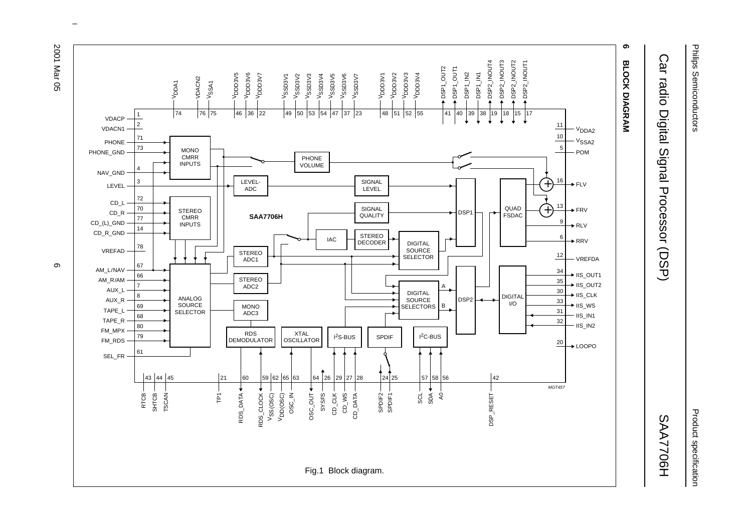



 $\omega$  rotated correctly when browsing through the pdf in the Acrobat reader.This text is here in the pdf in the  $\alpha$ 

Philips Semiconductors Philips Semiconductors

Product specification

**SAA7706H** 

Car radio Digital Signal Processor (DSP) SAA7706H Car radio Digital Signal Processor (DSP)

Product specification

တ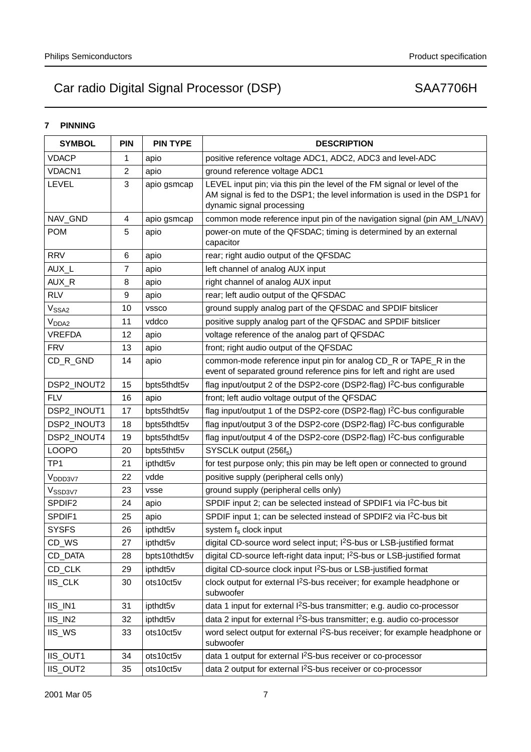# **7 PINNING**

| <b>SYMBOL</b>       | <b>PIN</b>     | <b>PIN TYPE</b> | <b>DESCRIPTION</b>                                                                                                                                                                   |
|---------------------|----------------|-----------------|--------------------------------------------------------------------------------------------------------------------------------------------------------------------------------------|
| <b>VDACP</b>        | 1              | apio            | positive reference voltage ADC1, ADC2, ADC3 and level-ADC                                                                                                                            |
| VDACN1              | 2              | apio            | ground reference voltage ADC1                                                                                                                                                        |
| LEVEL               | 3              | apio gsmcap     | LEVEL input pin; via this pin the level of the FM signal or level of the<br>AM signal is fed to the DSP1; the level information is used in the DSP1 for<br>dynamic signal processing |
| NAV_GND             | 4              | apio gsmcap     | common mode reference input pin of the navigation signal (pin AM_L/NAV)                                                                                                              |
| <b>POM</b>          | 5              | apio            | power-on mute of the QFSDAC; timing is determined by an external<br>capacitor                                                                                                        |
| <b>RRV</b>          | 6              | apio            | rear; right audio output of the QFSDAC                                                                                                                                               |
| AUX_L               | $\overline{7}$ | apio            | left channel of analog AUX input                                                                                                                                                     |
| AUX_R               | 8              | apio            | right channel of analog AUX input                                                                                                                                                    |
| <b>RLV</b>          | 9              | apio            | rear; left audio output of the QFSDAC                                                                                                                                                |
| V <sub>SSA2</sub>   | 10             | <b>VSSCO</b>    | ground supply analog part of the QFSDAC and SPDIF bitslicer                                                                                                                          |
| V <sub>DDA2</sub>   | 11             | vddco           | positive supply analog part of the QFSDAC and SPDIF bitslicer                                                                                                                        |
| <b>VREFDA</b>       | 12             | apio            | voltage reference of the analog part of QFSDAC                                                                                                                                       |
| <b>FRV</b>          | 13             | apio            | front; right audio output of the QFSDAC                                                                                                                                              |
| CD_R_GND            | 14             | apio            | common-mode reference input pin for analog CD_R or TAPE_R in the<br>event of separated ground reference pins for left and right are used                                             |
| DSP2_INOUT2         | 15             | bpts5thdt5v     | flag input/output 2 of the DSP2-core (DSP2-flag) l <sup>2</sup> C-bus configurable                                                                                                   |
| <b>FLV</b>          | 16             | apio            | front; left audio voltage output of the QFSDAC                                                                                                                                       |
| DSP2_INOUT1         | 17             | bpts5thdt5v     | flag input/output 1 of the DSP2-core (DSP2-flag) I <sup>2</sup> C-bus configurable                                                                                                   |
| DSP2_INOUT3         | 18             | bpts5thdt5v     | flag input/output 3 of the DSP2-core (DSP2-flag) I <sup>2</sup> C-bus configurable                                                                                                   |
| DSP2_INOUT4         | 19             | bpts5thdt5v     | flag input/output 4 of the DSP2-core (DSP2-flag) I <sup>2</sup> C-bus configurable                                                                                                   |
| <b>LOOPO</b>        | 20             | bpts5tht5v      | SYSCLK output (256f <sub>s</sub> )                                                                                                                                                   |
| TP <sub>1</sub>     | 21             | ipthdt5v        | for test purpose only; this pin may be left open or connected to ground                                                                                                              |
| V <sub>DDD3V7</sub> | 22             | vdde            | positive supply (peripheral cells only)                                                                                                                                              |
| V <sub>SSD3V7</sub> | 23             | vsse            | ground supply (peripheral cells only)                                                                                                                                                |
| SPDIF <sub>2</sub>  | 24             | apio            | SPDIF input 2; can be selected instead of SPDIF1 via I <sup>2</sup> C-bus bit                                                                                                        |
| SPDIF1              | 25             | apio            | SPDIF input 1; can be selected instead of SPDIF2 via I <sup>2</sup> C-bus bit                                                                                                        |
| <b>SYSFS</b>        | 26             | ipthdt5v        | system f <sub>s</sub> clock input                                                                                                                                                    |
| CD_WS               | 27             | ipthdt5v        | digital CD-source word select input; I <sup>2</sup> S-bus or LSB-justified format                                                                                                    |
| CD_DATA             | 28             | bpts10thdt5v    | digital CD-source left-right data input; I <sup>2</sup> S-bus or LSB-justified format                                                                                                |
| CD_CLK              | 29             | ipthdt5v        | digital CD-source clock input I <sup>2</sup> S-bus or LSB-justified format                                                                                                           |
| IIS_CLK             | 30             | ots10ct5v       | clock output for external I <sup>2</sup> S-bus receiver; for example headphone or<br>subwoofer                                                                                       |
| IIS_IN1             | 31             | ipthdt5v        | data 1 input for external I <sup>2</sup> S-bus transmitter; e.g. audio co-processor                                                                                                  |
| IIS_IN2             | 32             | ipthdt5v        | data 2 input for external I <sup>2</sup> S-bus transmitter; e.g. audio co-processor                                                                                                  |
| IIS_WS              | 33             | ots10ct5v       | word select output for external I <sup>2</sup> S-bus receiver; for example headphone or<br>subwoofer                                                                                 |
| IIS_OUT1            | 34             | ots10ct5v       | data 1 output for external I <sup>2</sup> S-bus receiver or co-processor                                                                                                             |
| IIS_OUT2            | 35             | ots10ct5v       | data 2 output for external I <sup>2</sup> S-bus receiver or co-processor                                                                                                             |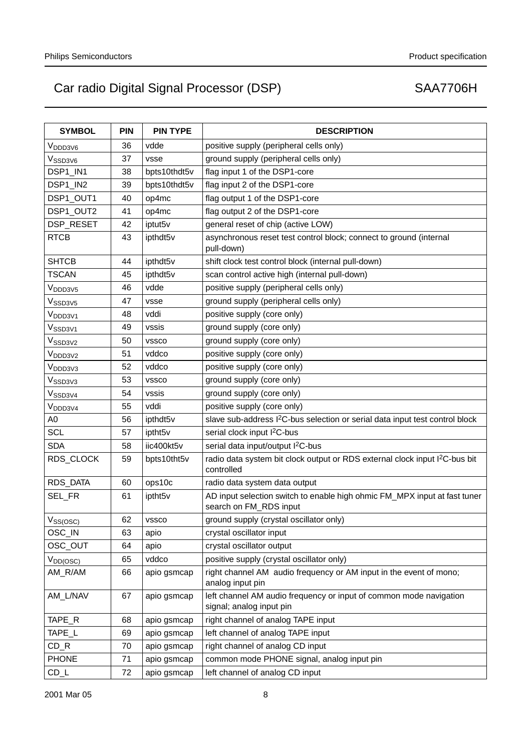| <b>SYMBOL</b>                 | <b>PIN</b> | <b>PIN TYPE</b> | <b>DESCRIPTION</b>                                                                                    |
|-------------------------------|------------|-----------------|-------------------------------------------------------------------------------------------------------|
| V <sub>DDD3V6</sub>           | 36         | vdde            | positive supply (peripheral cells only)                                                               |
| V <sub>SSD3V6</sub>           | 37         | vsse            | ground supply (peripheral cells only)                                                                 |
| DSP1_IN1                      | 38         | bpts10thdt5v    | flag input 1 of the DSP1-core                                                                         |
| DSP1_IN2                      | 39         | bpts10thdt5v    | flag input 2 of the DSP1-core                                                                         |
| DSP1_OUT1                     | 40         | op4mc           | flag output 1 of the DSP1-core                                                                        |
| DSP1_OUT2                     | 41         | op4mc           | flag output 2 of the DSP1-core                                                                        |
| DSP_RESET                     | 42         | iptut5v         | general reset of chip (active LOW)                                                                    |
| <b>RTCB</b>                   | 43         | ipthdt5v        | asynchronous reset test control block; connect to ground (internal<br>pull-down)                      |
| <b>SHTCB</b>                  | 44         | ipthdt5v        | shift clock test control block (internal pull-down)                                                   |
| <b>TSCAN</b>                  | 45         | ipthdt5v        | scan control active high (internal pull-down)                                                         |
| V <sub>DDD3V5</sub>           | 46         | vdde            | positive supply (peripheral cells only)                                                               |
| V <sub>SSD3V5</sub>           | 47         | vsse            | ground supply (peripheral cells only)                                                                 |
| V <sub>DDD3V1</sub>           | 48         | vddi            | positive supply (core only)                                                                           |
| V <sub>SSD3V1</sub>           | 49         | vssis           | ground supply (core only)                                                                             |
| V <sub>SSD3V2</sub>           | 50         | <b>VSSCO</b>    | ground supply (core only)                                                                             |
| V <sub>DDD3V2</sub>           | 51         | vddco           | positive supply (core only)                                                                           |
| $V_{\mathsf{DD}3\mathsf{V}3}$ | 52         | vddco           | positive supply (core only)                                                                           |
| Vssd3v3                       | 53         | <b>VSSCO</b>    | ground supply (core only)                                                                             |
| V <sub>SSD3V4</sub>           | 54         | vssis           | ground supply (core only)                                                                             |
| V <sub>DDD3V4</sub>           | 55         | vddi            | positive supply (core only)                                                                           |
| A0                            | 56         | ipthdt5v        | slave sub-address I <sup>2</sup> C-bus selection or serial data input test control block              |
| <b>SCL</b>                    | 57         | iptht5v         | serial clock input I <sup>2</sup> C-bus                                                               |
| <b>SDA</b>                    | 58         | iic400kt5v      | serial data input/output I <sup>2</sup> C-bus                                                         |
| RDS_CLOCK                     | 59         | bpts10tht5v     | radio data system bit clock output or RDS external clock input I <sup>2</sup> C-bus bit<br>controlled |
| RDS_DATA                      | 60         | ops10c          | radio data system data output                                                                         |
| SEL_FR                        | 61         | iptht5v         | AD input selection switch to enable high ohmic FM_MPX input at fast tuner<br>search on FM_RDS input   |
| $V_{SS(OSC)}$                 | 62         | <b>VSSCO</b>    | ground supply (crystal oscillator only)                                                               |
| OSC_IN                        | 63         | apio            | crystal oscillator input                                                                              |
| OSC_OUT                       | 64         | apio            | crystal oscillator output                                                                             |
| $V_{DD(OSC)}$                 | 65         | vddco           | positive supply (crystal oscillator only)                                                             |
| AM_R/AM                       | 66         | apio gsmcap     | right channel AM audio frequency or AM input in the event of mono;<br>analog input pin                |
| AM_L/NAV                      | 67         | apio gsmcap     | left channel AM audio frequency or input of common mode navigation<br>signal; analog input pin        |
| TAPE_R                        | 68         | apio gsmcap     | right channel of analog TAPE input                                                                    |
| TAPE_L                        | 69         | apio gsmcap     | left channel of analog TAPE input                                                                     |
| $CD_R$                        | 70         | apio gsmcap     | right channel of analog CD input                                                                      |
| <b>PHONE</b>                  | 71         | apio gsmcap     | common mode PHONE signal, analog input pin                                                            |
| $CD_L$                        | 72         | apio gsmcap     | left channel of analog CD input                                                                       |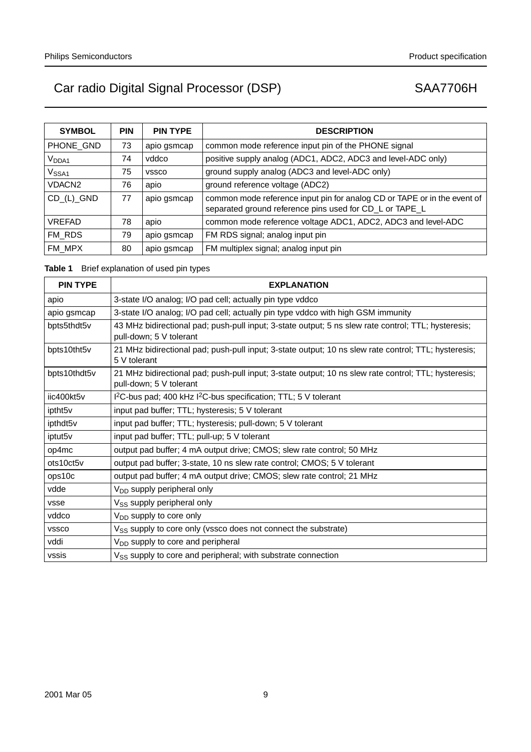| <b>SYMBOL</b>           | <b>PIN</b> | <b>PIN TYPE</b> | <b>DESCRIPTION</b>                                                                                                                  |
|-------------------------|------------|-----------------|-------------------------------------------------------------------------------------------------------------------------------------|
| PHONE GND               | 73         | apio gsmcap     | common mode reference input pin of the PHONE signal                                                                                 |
| V <sub>DDA1</sub>       | 74         | vddco           | positive supply analog (ADC1, ADC2, ADC3 and level-ADC only)                                                                        |
| V <sub>SSA1</sub>       | 75         | <b>VSSCO</b>    | ground supply analog (ADC3 and level-ADC only)                                                                                      |
| VDACN <sub>2</sub>      | 76         | apio            | ground reference voltage (ADC2)                                                                                                     |
| $CD_(L)$ <sub>GND</sub> | 77         | apio gsmcap     | common mode reference input pin for analog CD or TAPE or in the event of<br>separated ground reference pins used for CD_L or TAPE_L |
| <b>VREFAD</b>           | 78         | apio            | common mode reference voltage ADC1, ADC2, ADC3 and level-ADC                                                                        |
| FM RDS                  | 79         | apio gsmcap     | FM RDS signal; analog input pin                                                                                                     |
| FM MPX                  | 80         | apio gsmcap     | FM multiplex signal; analog input pin                                                                                               |

# **Table 1** Brief explanation of used pin types

| <b>PIN TYPE</b>      | <b>EXPLANATION</b>                                                                                                              |
|----------------------|---------------------------------------------------------------------------------------------------------------------------------|
| apio                 | 3-state I/O analog; I/O pad cell; actually pin type vddco                                                                       |
| apio gsmcap          | 3-state I/O analog; I/O pad cell; actually pin type vddco with high GSM immunity                                                |
| bpts5thdt5v          | 43 MHz bidirectional pad; push-pull input; 3-state output; 5 ns slew rate control; TTL; hysteresis;<br>pull-down; 5 V tolerant  |
| bpts10tht5v          | 21 MHz bidirectional pad; push-pull input; 3-state output; 10 ns slew rate control; TTL; hysteresis;<br>5 V tolerant            |
| bpts10thdt5v         | 21 MHz bidirectional pad; push-pull input; 3-state output; 10 ns slew rate control; TTL; hysteresis;<br>pull-down; 5 V tolerant |
| iic400kt5v           | $12C$ -bus pad; 400 kHz $12C$ -bus specification; TTL; 5 V tolerant                                                             |
| iptht5v              | input pad buffer; TTL; hysteresis; 5 V tolerant                                                                                 |
| ipthdt <sub>5v</sub> | input pad buffer; TTL; hysteresis; pull-down; 5 V tolerant                                                                      |
| iptut5v              | input pad buffer; TTL; pull-up; 5 V tolerant                                                                                    |
| op4mc                | output pad buffer; 4 mA output drive; CMOS; slew rate control; 50 MHz                                                           |
| ots10ct5v            | output pad buffer; 3-state, 10 ns slew rate control; CMOS; 5 V tolerant                                                         |
| ops10c               | output pad buffer; 4 mA output drive; CMOS; slew rate control; 21 MHz                                                           |
| vdde                 | V <sub>DD</sub> supply peripheral only                                                                                          |
| vsse                 | V <sub>SS</sub> supply peripheral only                                                                                          |
| vddco                | V <sub>DD</sub> supply to core only                                                                                             |
| <b>VSSCO</b>         | V <sub>SS</sub> supply to core only (vssco does not connect the substrate)                                                      |
| vddi                 | V <sub>DD</sub> supply to core and peripheral                                                                                   |
| vssis                | V <sub>SS</sub> supply to core and peripheral; with substrate connection                                                        |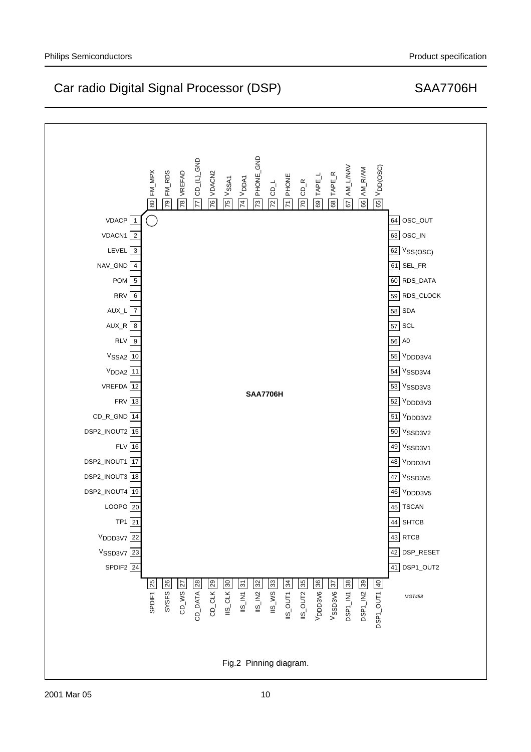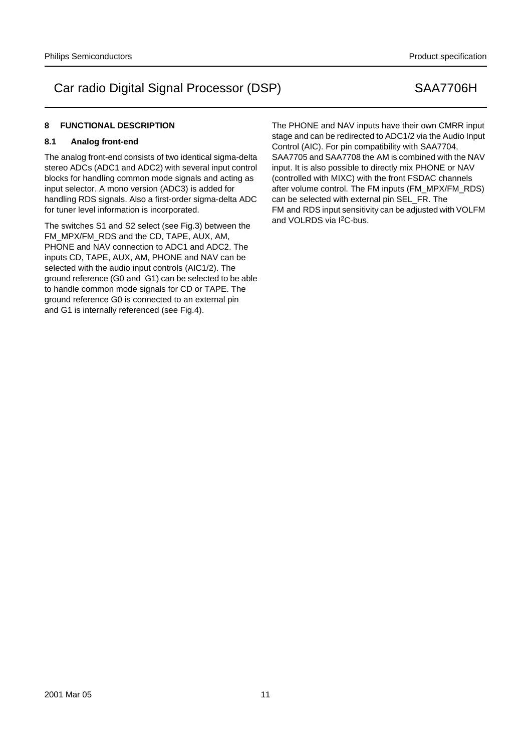# **8 FUNCTIONAL DESCRIPTION**

## **8.1 Analog front-end**

The analog front-end consists of two identical sigma-delta stereo ADCs (ADC1 and ADC2) with several input control blocks for handling common mode signals and acting as input selector. A mono version (ADC3) is added for handling RDS signals. Also a first-order sigma-delta ADC for tuner level information is incorporated.

The switches S1 and S2 select (see Fig.3) between the FM\_MPX/FM\_RDS and the CD, TAPE, AUX, AM, PHONE and NAV connection to ADC1 and ADC2. The inputs CD, TAPE, AUX, AM, PHONE and NAV can be selected with the audio input controls (AIC1/2). The ground reference (G0 and G1) can be selected to be able to handle common mode signals for CD or TAPE. The ground reference G0 is connected to an external pin and G1 is internally referenced (see Fig.4).

The PHONE and NAV inputs have their own CMRR input stage and can be redirected to ADC1/2 via the Audio Input Control (AIC). For pin compatibility with SAA7704, SAA7705 and SAA7708 the AM is combined with the NAV input. It is also possible to directly mix PHONE or NAV (controlled with MIXC) with the front FSDAC channels after volume control. The FM inputs (FM\_MPX/FM\_RDS) can be selected with external pin SEL\_FR. The FM and RDS input sensitivity can be adjusted with VOLFM and VOLRDS via I<sup>2</sup>C-bus.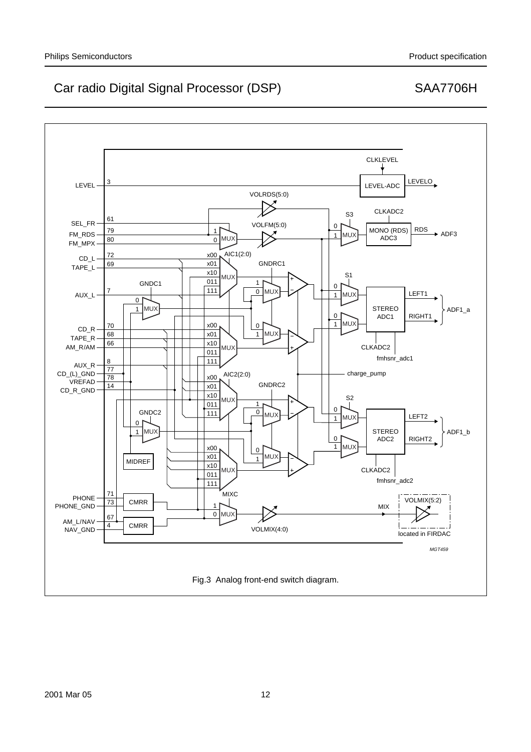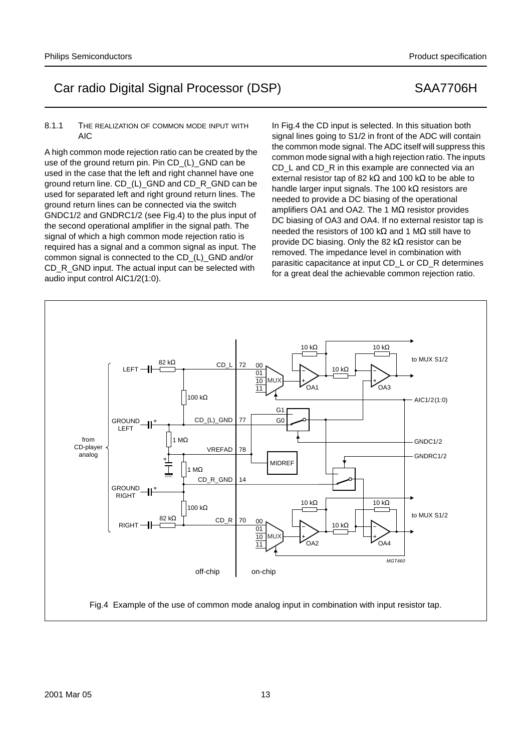## 8.1.1 THE REALIZATION OF COMMON MODE INPUT WITH AIC

A high common mode rejection ratio can be created by the use of the ground return pin. Pin CD (L) GND can be used in the case that the left and right channel have one ground return line. CD\_(L)\_GND and CD\_R\_GND can be used for separated left and right ground return lines. The ground return lines can be connected via the switch GNDC1/2 and GNDRC1/2 (see Fig.4) to the plus input of the second operational amplifier in the signal path. The signal of which a high common mode rejection ratio is required has a signal and a common signal as input. The common signal is connected to the CD\_(L)\_GND and/or CD\_R\_GND input. The actual input can be selected with audio input control AIC1/2(1:0).

In Fig.4 the CD input is selected. In this situation both signal lines going to S1/2 in front of the ADC will contain the common mode signal. The ADC itself will suppress this common mode signal with a high rejection ratio. The inputs CD L and CD R in this example are connected via an external resistor tap of 82 kΩ and 100 kΩ to be able to handle larger input signals. The 100 kΩ resistors are needed to provide a DC biasing of the operational amplifiers OA1 and OA2. The 1  $MΩ$  resistor provides DC biasing of OA3 and OA4. If no external resistor tap is needed the resistors of 100 kΩ and 1 MΩ still have to provide DC biasing. Only the 82 kΩ resistor can be removed. The impedance level in combination with parasitic capacitance at input CD\_L or CD\_R determines for a great deal the achievable common rejection ratio.

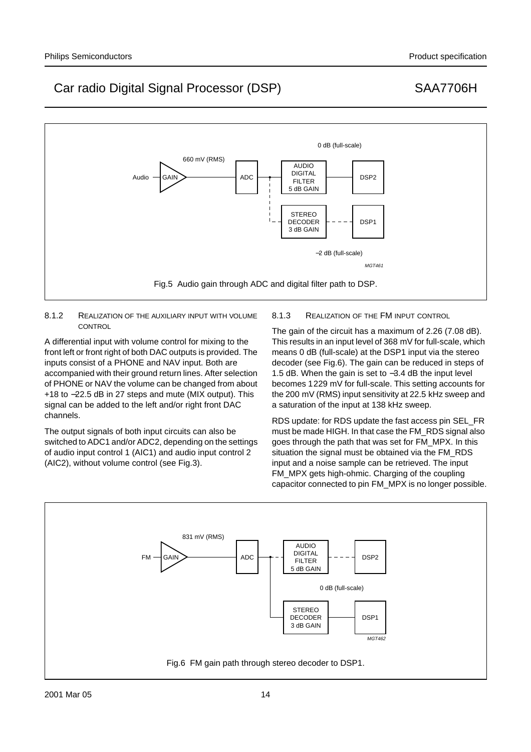

## 8.1.2 REALIZATION OF THE AUXILIARY INPUT WITH VOLUME **CONTROL**

A differential input with volume control for mixing to the front left or front right of both DAC outputs is provided. The inputs consist of a PHONE and NAV input. Both are accompanied with their ground return lines. After selection of PHONE or NAV the volume can be changed from about +18 to −22.5 dB in 27 steps and mute (MIX output). This signal can be added to the left and/or right front DAC channels.

The output signals of both input circuits can also be switched to ADC1 and/or ADC2, depending on the settings of audio input control 1 (AIC1) and audio input control 2 (AIC2), without volume control (see Fig.3).

# 8.1.3 REALIZATION OF THE FM INPUT CONTROL

The gain of the circuit has a maximum of 2.26 (7.08 dB). This results in an input level of 368 mV for full-scale, which means 0 dB (full-scale) at the DSP1 input via the stereo decoder (see Fig.6). The gain can be reduced in steps of 1.5 dB. When the gain is set to −3.4 dB the input level becomes 1229 mV for full-scale. This setting accounts for the 200 mV (RMS) input sensitivity at 22.5 kHz sweep and a saturation of the input at 138 kHz sweep.

RDS update: for RDS update the fast access pin SEL\_FR must be made HIGH. In that case the FM\_RDS signal also goes through the path that was set for FM\_MPX. In this situation the signal must be obtained via the FM\_RDS input and a noise sample can be retrieved. The input FM\_MPX gets high-ohmic. Charging of the coupling capacitor connected to pin FM\_MPX is no longer possible.

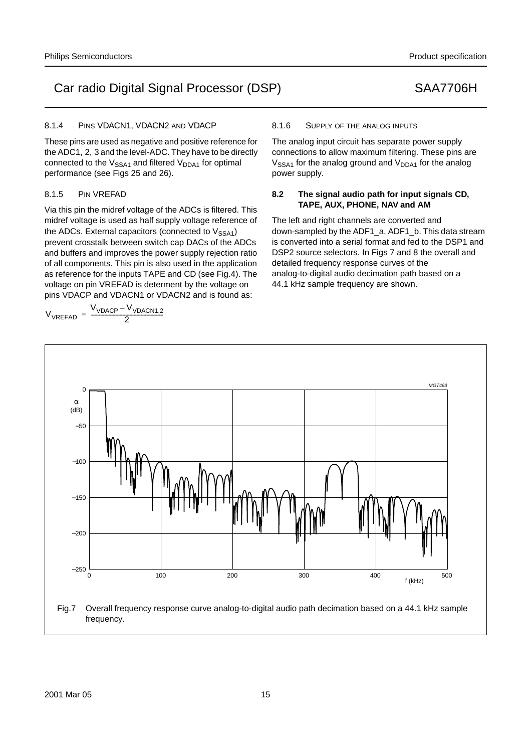## 8.1.4 PINS VDACN1, VDACN2 AND VDACP

These pins are used as negative and positive reference for the ADC1, 2, 3 and the level-ADC. They have to be directly connected to the  $V<sub>SSA1</sub>$  and filtered  $V<sub>DDA1</sub>$  for optimal performance (see Figs 25 and 26).

## 8.1.5 PIN VREFAD

Via this pin the midref voltage of the ADCs is filtered. This midref voltage is used as half supply voltage reference of the ADCs. External capacitors (connected to  $V<sub>SSA1</sub>$ ) prevent crosstalk between switch cap DACs of the ADCs and buffers and improves the power supply rejection ratio of all components. This pin is also used in the application as reference for the inputs TAPE and CD (see Fig.4). The voltage on pin VREFAD is determent by the voltage on pins VDACP and VDACN1 or VDACN2 and is found as:

$$
V_{VREFAD} = \frac{V_{VDACP} - V_{VDACN1,2}}{2}
$$

## 8.1.6 SUPPLY OF THE ANALOG INPUTS

The analog input circuit has separate power supply connections to allow maximum filtering. These pins are  $V<sub>SSA1</sub>$  for the analog ground and  $V<sub>DDA1</sub>$  for the analog power supply.

## **8.2 The signal audio path for input signals CD, TAPE, AUX, PHONE, NAV and AM**

The left and right channels are converted and down-sampled by the ADF1\_a, ADF1\_b. This data stream is converted into a serial format and fed to the DSP1 and DSP2 source selectors. In Figs 7 and 8 the overall and detailed frequency response curves of the analog-to-digital audio decimation path based on a 44.1 kHz sample frequency are shown.

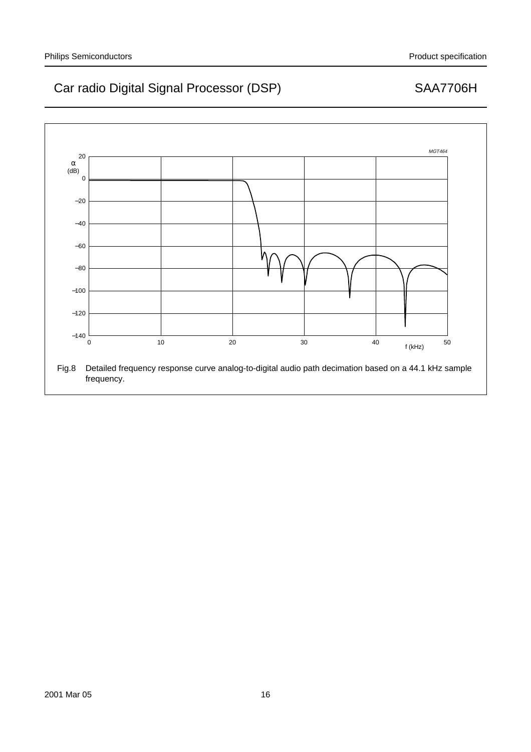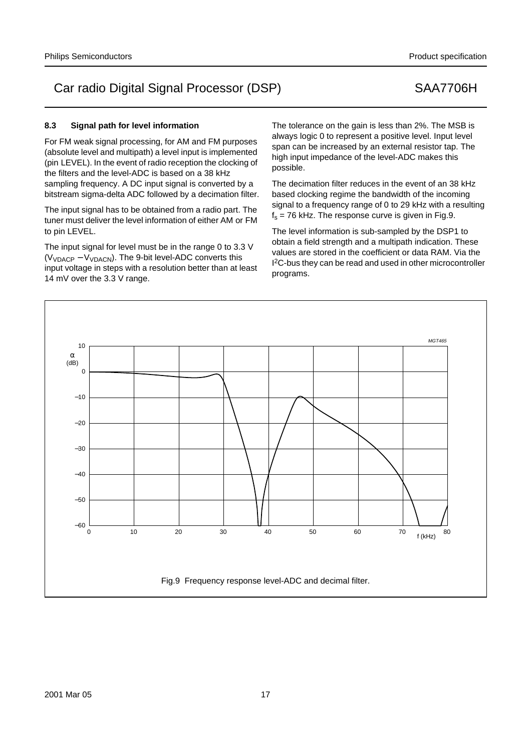## **8.3 Signal path for level information**

For FM weak signal processing, for AM and FM purposes (absolute level and multipath) a level input is implemented (pin LEVEL). In the event of radio reception the clocking of the filters and the level-ADC is based on a 38 kHz sampling frequency. A DC input signal is converted by a bitstream sigma-delta ADC followed by a decimation filter.

The input signal has to be obtained from a radio part. The tuner must deliver the level information of either AM or FM to pin LEVEL.

The input signal for level must be in the range 0 to 3.3 V  $(V<sub>VDACP</sub> - V<sub>VDACN</sub>)$ . The 9-bit level-ADC converts this input voltage in steps with a resolution better than at least 14 mV over the 3.3 V range.

The tolerance on the gain is less than 2%. The MSB is always logic 0 to represent a positive level. Input level span can be increased by an external resistor tap. The high input impedance of the level-ADC makes this possible.

The decimation filter reduces in the event of an 38 kHz based clocking regime the bandwidth of the incoming signal to a frequency range of 0 to 29 kHz with a resulting  $f<sub>s</sub> = 76$  kHz. The response curve is given in Fig.9.

The level information is sub-sampled by the DSP1 to obtain a field strength and a multipath indication. These values are stored in the coefficient or data RAM. Via the I<sup>2</sup>C-bus they can be read and used in other microcontroller programs.

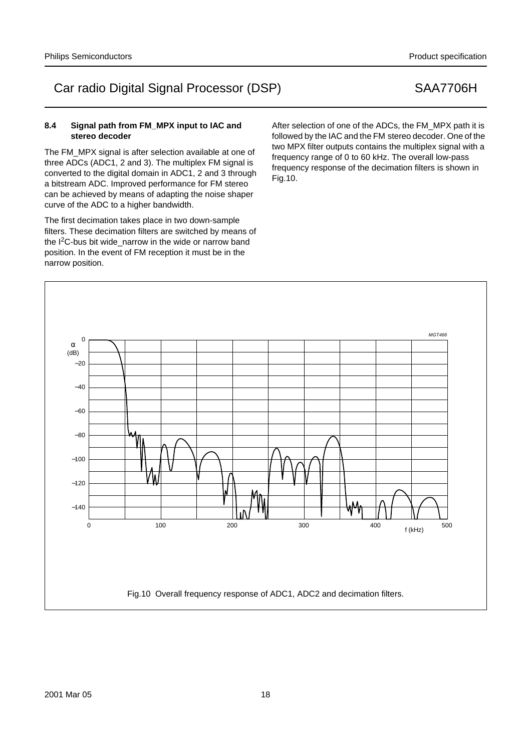## **8.4 Signal path from FM\_MPX input to IAC and stereo decoder**

The FM\_MPX signal is after selection available at one of three ADCs (ADC1, 2 and 3). The multiplex FM signal is converted to the digital domain in ADC1, 2 and 3 through a bitstream ADC. Improved performance for FM stereo can be achieved by means of adapting the noise shaper curve of the ADC to a higher bandwidth.

The first decimation takes place in two down-sample filters. These decimation filters are switched by means of the I<sup>2</sup>C-bus bit wide narrow in the wide or narrow band position. In the event of FM reception it must be in the narrow position.

After selection of one of the ADCs, the FM\_MPX path it is followed by the IAC and the FM stereo decoder. One of the two MPX filter outputs contains the multiplex signal with a frequency range of 0 to 60 kHz. The overall low-pass frequency response of the decimation filters is shown in Fig.10.



## Philips Semiconductors **Production** Semiconductors **Product specification** Product specification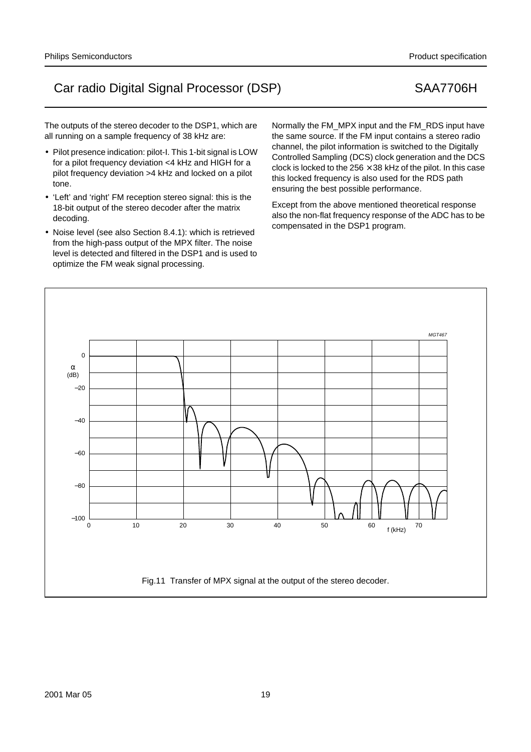The outputs of the stereo decoder to the DSP1, which are all running on a sample frequency of 38 kHz are:

- Pilot presence indication: pilot-I. This 1-bit signal is LOW for a pilot frequency deviation <4 kHz and HIGH for a pilot frequency deviation >4 kHz and locked on a pilot tone.
- 'Left' and 'right' FM reception stereo signal: this is the 18-bit output of the stereo decoder after the matrix decoding.
- Noise level (see also Section 8.4.1): which is retrieved from the high-pass output of the MPX filter. The noise level is detected and filtered in the DSP1 and is used to optimize the FM weak signal processing.

Normally the FM\_MPX input and the FM\_RDS input have the same source. If the FM input contains a stereo radio channel, the pilot information is switched to the Digitally Controlled Sampling (DCS) clock generation and the DCS clock is locked to the 256  $\times$  38 kHz of the pilot. In this case this locked frequency is also used for the RDS path ensuring the best possible performance.

Except from the above mentioned theoretical response also the non-flat frequency response of the ADC has to be compensated in the DSP1 program.

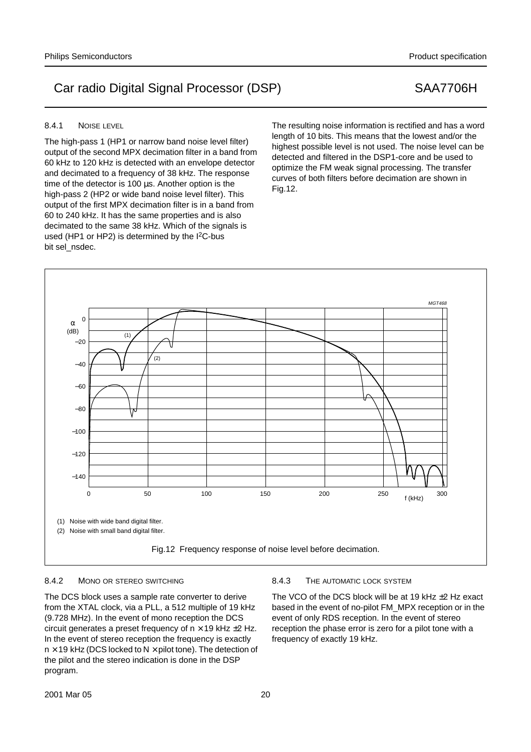## 8.4.1 NOISE LEVEL

The high-pass 1 (HP1 or narrow band noise level filter) output of the second MPX decimation filter in a band from 60 kHz to 120 kHz is detected with an envelope detector and decimated to a frequency of 38 kHz. The response time of the detector is 100 µs. Another option is the high-pass 2 (HP2 or wide band noise level filter). This output of the first MPX decimation filter is in a band from 60 to 240 kHz. It has the same properties and is also decimated to the same 38 kHz. Which of the signals is used (HP1 or HP2) is determined by the  $1^2C$ -bus bit sel\_nsdec.

The resulting noise information is rectified and has a word length of 10 bits. This means that the lowest and/or the highest possible level is not used. The noise level can be detected and filtered in the DSP1-core and be used to optimize the FM weak signal processing. The transfer curves of both filters before decimation are shown in Fig.12.



## 8.4.2 MONO OR STEREO SWITCHING

The DCS block uses a sample rate converter to derive from the XTAL clock, via a PLL, a 512 multiple of 19 kHz (9.728 MHz). In the event of mono reception the DCS circuit generates a preset frequency of  $n \times 19$  kHz  $\pm 2$  Hz. In the event of stereo reception the frequency is exactly  $n \times 19$  kHz (DCS locked to N  $\times$  pilot tone). The detection of the pilot and the stereo indication is done in the DSP program.

### 8.4.3 THE AUTOMATIC LOCK SYSTEM

The VCO of the DCS block will be at 19 kHz ±2 Hz exact based in the event of no-pilot FM\_MPX reception or in the event of only RDS reception. In the event of stereo reception the phase error is zero for a pilot tone with a frequency of exactly 19 kHz.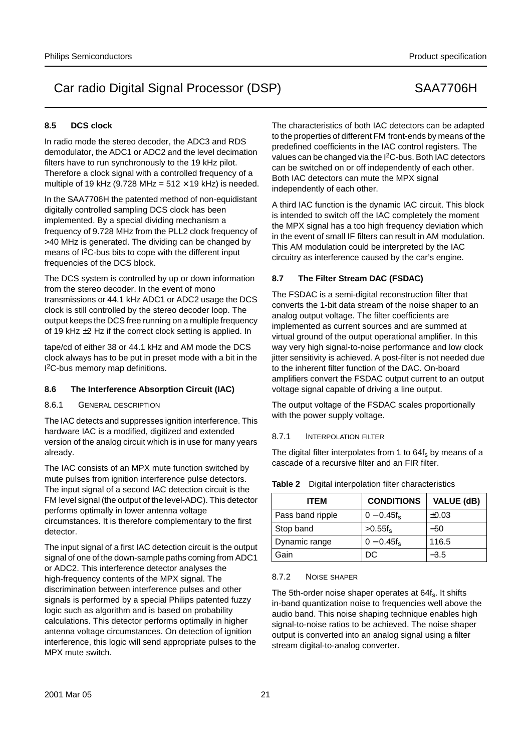# **8.5 DCS clock**

In radio mode the stereo decoder, the ADC3 and RDS demodulator, the ADC1 or ADC2 and the level decimation filters have to run synchronously to the 19 kHz pilot. Therefore a clock signal with a controlled frequency of a multiple of 19 kHz (9.728 MHz =  $512 \times 19$  kHz) is needed.

In the SAA7706H the patented method of non-equidistant digitally controlled sampling DCS clock has been implemented. By a special dividing mechanism a frequency of 9.728 MHz from the PLL2 clock frequency of >40 MHz is generated. The dividing can be changed by means of I2C-bus bits to cope with the different input frequencies of the DCS block.

The DCS system is controlled by up or down information from the stereo decoder. In the event of mono transmissions or 44.1 kHz ADC1 or ADC2 usage the DCS clock is still controlled by the stereo decoder loop. The output keeps the DCS free running on a multiple frequency of 19 kHz ±2 Hz if the correct clock setting is applied. In

tape/cd of either 38 or 44.1 kHz and AM mode the DCS clock always has to be put in preset mode with a bit in the I 2C-bus memory map definitions.

# **8.6 The Interference Absorption Circuit (IAC)**

## 8.6.1 GENERAL DESCRIPTION

The IAC detects and suppresses ignition interference. This hardware IAC is a modified, digitized and extended version of the analog circuit which is in use for many years already.

The IAC consists of an MPX mute function switched by mute pulses from ignition interference pulse detectors. The input signal of a second IAC detection circuit is the FM level signal (the output of the level-ADC). This detector performs optimally in lower antenna voltage circumstances. It is therefore complementary to the first detector.

The input signal of a first IAC detection circuit is the output signal of one of the down-sample paths coming from ADC1 or ADC2. This interference detector analyses the high-frequency contents of the MPX signal. The discrimination between interference pulses and other signals is performed by a special Philips patented fuzzy logic such as algorithm and is based on probability calculations. This detector performs optimally in higher antenna voltage circumstances. On detection of ignition interference, this logic will send appropriate pulses to the MPX mute switch.

The characteristics of both IAC detectors can be adapted to the properties of different FM front-ends by means of the predefined coefficients in the IAC control registers. The values can be changed via the I2C-bus. Both IAC detectors can be switched on or off independently of each other. Both IAC detectors can mute the MPX signal independently of each other.

A third IAC function is the dynamic IAC circuit. This block is intended to switch off the IAC completely the moment the MPX signal has a too high frequency deviation which in the event of small IF filters can result in AM modulation. This AM modulation could be interpreted by the IAC circuitry as interference caused by the car's engine.

# **8.7 The Filter Stream DAC (FSDAC)**

The FSDAC is a semi-digital reconstruction filter that converts the 1-bit data stream of the noise shaper to an analog output voltage. The filter coefficients are implemented as current sources and are summed at virtual ground of the output operational amplifier. In this way very high signal-to-noise performance and low clock jitter sensitivity is achieved. A post-filter is not needed due to the inherent filter function of the DAC. On-board amplifiers convert the FSDAC output current to an output voltage signal capable of driving a line output.

The output voltage of the FSDAC scales proportionally with the power supply voltage.

## 8.7.1 INTERPOLATION FILTER

The digital filter interpolates from 1 to  $64f<sub>s</sub>$  by means of a cascade of a recursive filter and an FIR filter.

| <b>ITFM</b>      | <b>CONDITIONS</b> | VALUE (dB) |
|------------------|-------------------|------------|
| Pass band ripple | $0 - 0.45f_{s}$   | $\pm 0.03$ |
| Stop band        | $>0.55f_s$        | -50        |
| Dynamic range    | $0 - 0.45f_s$     | 116.5      |
| Gain             | DC.               | -3.5       |

## **Table 2** Digital interpolation filter characteristics

## 8.7.2 NOISE SHAPER

The 5th-order noise shaper operates at 64f<sub>s</sub>. It shifts in-band quantization noise to frequencies well above the audio band. This noise shaping technique enables high signal-to-noise ratios to be achieved. The noise shaper output is converted into an analog signal using a filter stream digital-to-analog converter.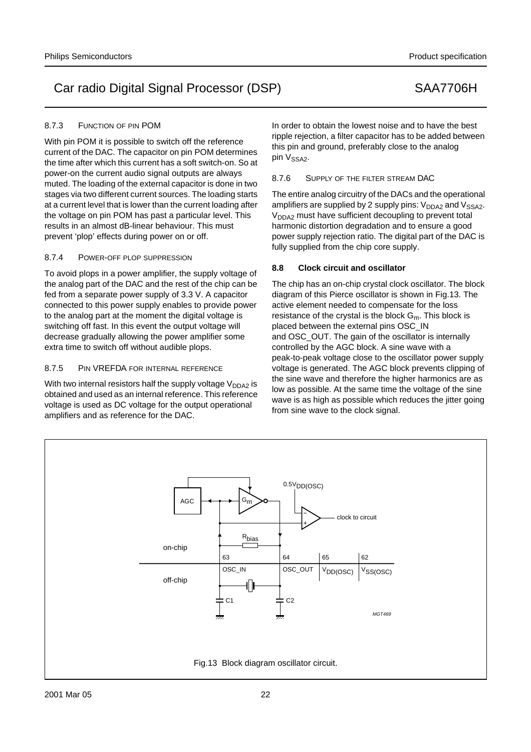## 8.7.3 FUNCTION OF PIN POM

With pin POM it is possible to switch off the reference current of the DAC. The capacitor on pin POM determines the time after which this current has a soft switch-on. So at power-on the current audio signal outputs are always muted. The loading of the external capacitor is done in two stages via two different current sources. The loading starts at a current level that is lower than the current loading after the voltage on pin POM has past a particular level. This results in an almost dB-linear behaviour. This must prevent 'plop' effects during power on or off.

## 8.7.4 POWER-OFF PLOP SUPPRESSION

To avoid plops in a power amplifier, the supply voltage of the analog part of the DAC and the rest of the chip can be fed from a separate power supply of 3.3 V. A capacitor connected to this power supply enables to provide power to the analog part at the moment the digital voltage is switching off fast. In this event the output voltage will decrease gradually allowing the power amplifier some extra time to switch off without audible plops.

# 8.7.5 PIN VREFDA FOR INTERNAL REFERENCE

With two internal resistors half the supply voltage  $V_{DDA2}$  is obtained and used as an internal reference. This reference voltage is used as DC voltage for the output operational amplifiers and as reference for the DAC.

In order to obtain the lowest noise and to have the best ripple rejection, a filter capacitor has to be added between this pin and ground, preferably close to the analog pin V<sub>SSA2</sub>.

8.7.6 SUPPLY OF THE FILTER STREAM DAC

The entire analog circuitry of the DACs and the operational amplifiers are supplied by 2 supply pins:  $V_{DDA2}$  and  $V_{SSA2}$ .  $V<sub>DDA2</sub>$  must have sufficient decoupling to prevent total harmonic distortion degradation and to ensure a good power supply rejection ratio. The digital part of the DAC is fully supplied from the chip core supply.

# **8.8 Clock circuit and oscillator**

The chip has an on-chip crystal clock oscillator. The block diagram of this Pierce oscillator is shown in Fig.13. The active element needed to compensate for the loss resistance of the crystal is the block  $G_m$ . This block is placed between the external pins OSC\_IN and OSC\_OUT. The gain of the oscillator is internally controlled by the AGC block. A sine wave with a peak-to-peak voltage close to the oscillator power supply voltage is generated. The AGC block prevents clipping of the sine wave and therefore the higher harmonics are as low as possible. At the same time the voltage of the sine wave is as high as possible which reduces the jitter going from sine wave to the clock signal.

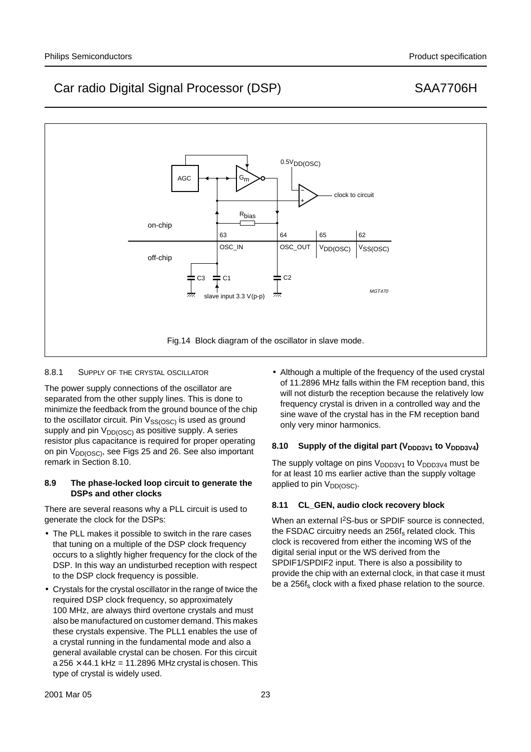

## 8.8.1 SUPPLY OF THE CRYSTAL OSCILLATOR

The power supply connections of the oscillator are separated from the other supply lines. This is done to minimize the feedback from the ground bounce of the chip to the oscillator circuit. Pin  $V_{SS(OSC)}$  is used as ground supply and pin  $V_{DD(GSC)}$  as positive supply. A series resistor plus capacitance is required for proper operating on pin V<sub>DD(OSC)</sub>, see Figs 25 and 26. See also important remark in Section 8.10.

## **8.9 The phase-locked loop circuit to generate the DSPs and other clocks**

There are several reasons why a PLL circuit is used to generate the clock for the DSPs:

- The PLL makes it possible to switch in the rare cases that tuning on a multiple of the DSP clock frequency occurs to a slightly higher frequency for the clock of the DSP. In this way an undisturbed reception with respect to the DSP clock frequency is possible.
- Crystals for the crystal oscillator in the range of twice the required DSP clock frequency, so approximately 100 MHz, are always third overtone crystals and must also be manufactured on customer demand. This makes these crystals expensive. The PLL1 enables the use of a crystal running in the fundamental mode and also a general available crystal can be chosen. For this circuit a 256  $\times$  44.1 kHz = 11.2896 MHz crystal is chosen. This type of crystal is widely used.

• Although a multiple of the frequency of the used crystal of 11.2896 MHz falls within the FM reception band, this will not disturb the reception because the relatively low frequency crystal is driven in a controlled way and the sine wave of the crystal has in the FM reception band only very minor harmonics.

## 8.10 Supply of the digital part (V<sub>DDD3V1</sub> to V<sub>DDD3V4</sub>)

The supply voltage on pins  $V_{DDD3V1}$  to  $V_{DDD3V4}$  must be for at least 10 ms earlier active than the supply voltage applied to pin  $V_{DD(OSC)}$ .

## **8.11 CL\_GEN, audio clock recovery block**

When an external I<sup>2</sup>S-bus or SPDIF source is connected, the FSDAC circuitry needs an 256f<sub>s</sub> related clock. This clock is recovered from either the incoming WS of the digital serial input or the WS derived from the SPDIF1/SPDIF2 input. There is also a possibility to provide the chip with an external clock, in that case it must be a 256f<sub>s</sub> clock with a fixed phase relation to the source.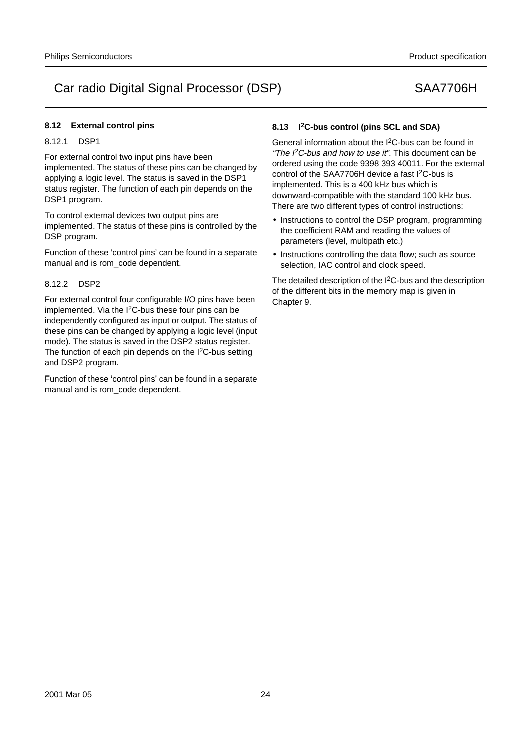## **8.12 External control pins**

## 8.12.1 DSP1

For external control two input pins have been implemented. The status of these pins can be changed by applying a logic level. The status is saved in the DSP1 status register. The function of each pin depends on the DSP1 program.

To control external devices two output pins are implemented. The status of these pins is controlled by the DSP program.

Function of these 'control pins' can be found in a separate manual and is rom\_code dependent.

## 8.12.2 DSP2

For external control four configurable I/O pins have been implemented. Via the I2C-bus these four pins can be independently configured as input or output. The status of these pins can be changed by applying a logic level (input mode). The status is saved in the DSP2 status register. The function of each pin depends on the I<sup>2</sup>C-bus setting and DSP2 program.

Function of these 'control pins' can be found in a separate manual and is rom\_code dependent.

# **8.13 I2C-bus control (pins SCL and SDA)**

General information about the I2C-bus can be found in "The  $l^2C$ -bus and how to use it". This document can be ordered using the code 9398 393 40011. For the external control of the SAA7706H device a fast I<sup>2</sup>C-bus is implemented. This is a 400 kHz bus which is downward-compatible with the standard 100 kHz bus. There are two different types of control instructions:

- Instructions to control the DSP program, programming the coefficient RAM and reading the values of parameters (level, multipath etc.)
- Instructions controlling the data flow; such as source selection, IAC control and clock speed.

The detailed description of the I2C-bus and the description of the different bits in the memory map is given in Chapter 9.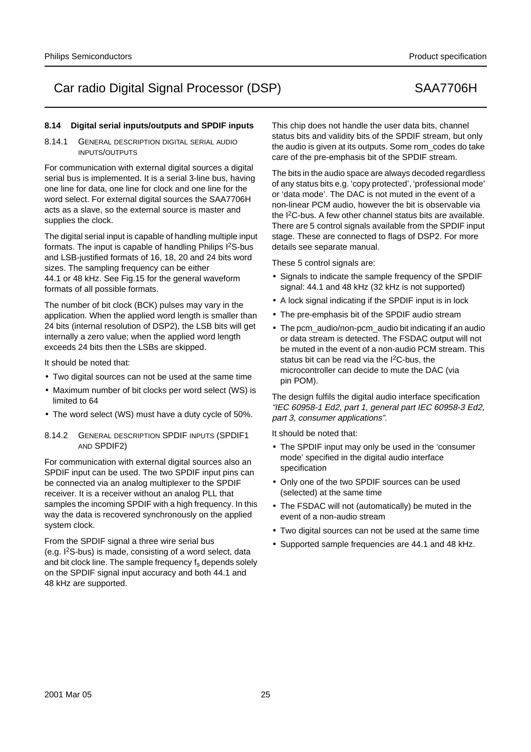# **8.14 Digital serial inputs/outputs and SPDIF inputs**

8.14.1 GENERAL DESCRIPTION DIGITAL SERIAL AUDIO INPUTS/OUTPUTS

For communication with external digital sources a digital serial bus is implemented. It is a serial 3-line bus, having one line for data, one line for clock and one line for the word select. For external digital sources the SAA7706H acts as a slave, so the external source is master and supplies the clock.

The digital serial input is capable of handling multiple input formats. The input is capable of handling Philips I2S-bus and LSB-justified formats of 16, 18, 20 and 24 bits word sizes. The sampling frequency can be either 44.1 or 48 kHz. See Fig.15 for the general waveform formats of all possible formats.

The number of bit clock (BCK) pulses may vary in the application. When the applied word length is smaller than 24 bits (internal resolution of DSP2), the LSB bits will get internally a zero value; when the applied word length exceeds 24 bits then the LSBs are skipped.

It should be noted that:

- Two digital sources can not be used at the same time
- Maximum number of bit clocks per word select (WS) is limited to 64
- The word select (WS) must have a duty cycle of 50%.
- 8.14.2 GENERAL DESCRIPTION SPDIF INPUTS (SPDIF1 AND SPDIF2)

For communication with external digital sources also an SPDIF input can be used. The two SPDIF input pins can be connected via an analog multiplexer to the SPDIF receiver. It is a receiver without an analog PLL that samples the incoming SPDIF with a high frequency. In this way the data is recovered synchronously on the applied system clock.

From the SPDIF signal a three wire serial bus (e.g. I2S-bus) is made, consisting of a word select, data and bit clock line. The sample frequency f<sub>s</sub> depends solely on the SPDIF signal input accuracy and both 44.1 and 48 kHz are supported.

This chip does not handle the user data bits, channel status bits and validity bits of the SPDIF stream, but only the audio is given at its outputs. Some rom\_codes do take care of the pre-emphasis bit of the SPDIF stream.

The bits in the audio space are always decoded regardless of any status bits e.g. 'copy protected', 'professional mode' or 'data mode'. The DAC is not muted in the event of a non-linear PCM audio, however the bit is observable via the I2C-bus. A few other channel status bits are available. There are 5 control signals available from the SPDIF input stage. These are connected to flags of DSP2. For more details see separate manual.

These 5 control signals are:

- Signals to indicate the sample frequency of the SPDIF signal: 44.1 and 48 kHz (32 kHz is not supported)
- A lock signal indicating if the SPDIF input is in lock
- The pre-emphasis bit of the SPDIF audio stream
- The pcm\_audio/non-pcm\_audio bit indicating if an audio or data stream is detected. The FSDAC output will not be muted in the event of a non-audio PCM stream. This status bit can be read via the I2C-bus, the microcontroller can decide to mute the DAC (via pin POM).

The design fulfils the digital audio interface specification "IEC 60958-1 Ed2, part 1, general part IEC 60958-3 Ed2, part 3, consumer applications".

It should be noted that:

- The SPDIF input may only be used in the 'consumer mode' specified in the digital audio interface specification
- Only one of the two SPDIF sources can be used (selected) at the same time
- The FSDAC will not (automatically) be muted in the event of a non-audio stream
- Two digital sources can not be used at the same time
- Supported sample frequencies are 44.1 and 48 kHz.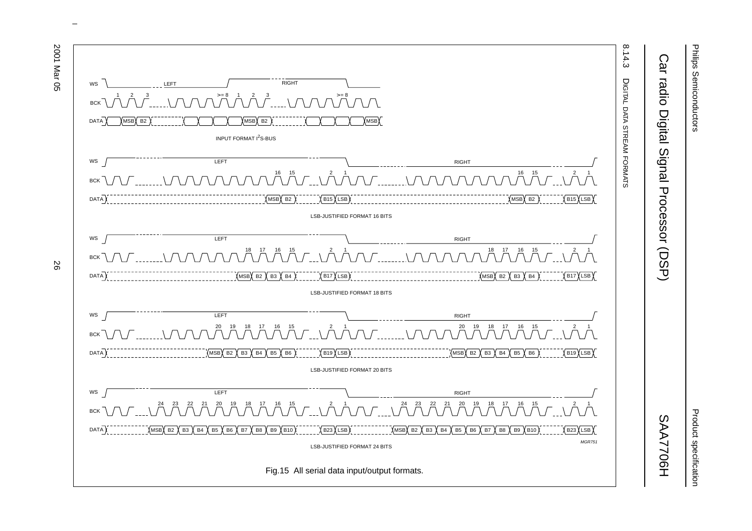

# Product specification Product specification

# Car radio Digital Signal Processor (DSP) SAA7706H Car radio Digital Signal Processor (DSP)

**SAA7706H** 



 $\omega$  rotated correctly when browsing through the pdf in the Acrobat reader.This text is here in the pdf in the  $\alpha$ 

്റ്റ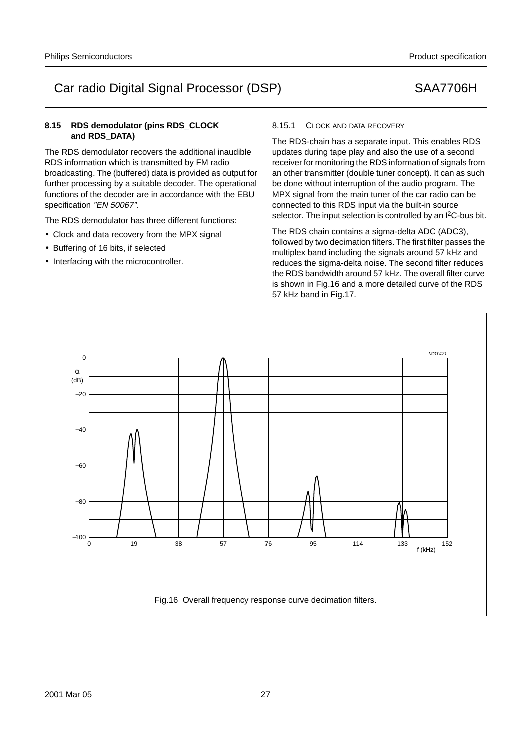The RDS demodulator has three different functions:

The RDS demodulator recovers the additional inaudible RDS information which is transmitted by FM radio

functions of the decoder are in accordance with the EBU

• Clock and data recovery from the MPX signal

**8.15 RDS demodulator (pins RDS\_CLOCK**

• Buffering of 16 bits, if selected

specification "EN 50067".

handbook, full pagewidth

α

 $-100$ 

0

**and RDS\_DATA)**

• Interfacing with the microcontroller.

# 8.15.1 CLOCK AND DATA RECOVERY

The RDS-chain has a separate input. This enables RDS updates during tape play and also the use of a second receiver for monitoring the RDS information of signals from an other transmitter (double tuner concept). It can as such be done without interruption of the audio program. The MPX signal from the main tuner of the car radio can be connected to this RDS input via the built-in source selector. The input selection is controlled by an I<sup>2</sup>C-bus bit.

The RDS chain contains a sigma-delta ADC (ADC3), followed by two decimation filters. The first filter passes the multiplex band including the signals around 57 kHz and reduces the sigma-delta noise. The second filter reduces the RDS bandwidth around 57 kHz. The overall filter curve is shown in Fig.16 and a more detailed curve of the RDS 57 kHz band in Fig.17.



0 19 38 57 76 95 114



19 95 57 76 133

152

f (kHz)

MGT471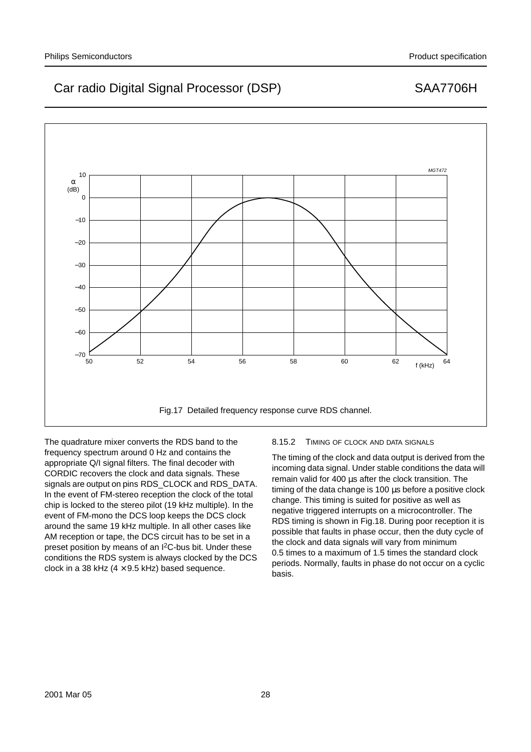

The quadrature mixer converts the RDS band to the frequency spectrum around 0 Hz and contains the appropriate Q/I signal filters. The final decoder with CORDIC recovers the clock and data signals. These signals are output on pins RDS\_CLOCK and RDS\_DATA. In the event of FM-stereo reception the clock of the total chip is locked to the stereo pilot (19 kHz multiple). In the event of FM-mono the DCS loop keeps the DCS clock around the same 19 kHz multiple. In all other cases like AM reception or tape, the DCS circuit has to be set in a preset position by means of an I<sup>2</sup>C-bus bit. Under these conditions the RDS system is always clocked by the DCS clock in a 38 kHz ( $4 \times 9.5$  kHz) based sequence.

## 8.15.2 TIMING OF CLOCK AND DATA SIGNALS

The timing of the clock and data output is derived from the incoming data signal. Under stable conditions the data will remain valid for 400 µs after the clock transition. The timing of the data change is 100 µs before a positive clock change. This timing is suited for positive as well as negative triggered interrupts on a microcontroller. The RDS timing is shown in Fig.18. During poor reception it is possible that faults in phase occur, then the duty cycle of the clock and data signals will vary from minimum 0.5 times to a maximum of 1.5 times the standard clock periods. Normally, faults in phase do not occur on a cyclic basis.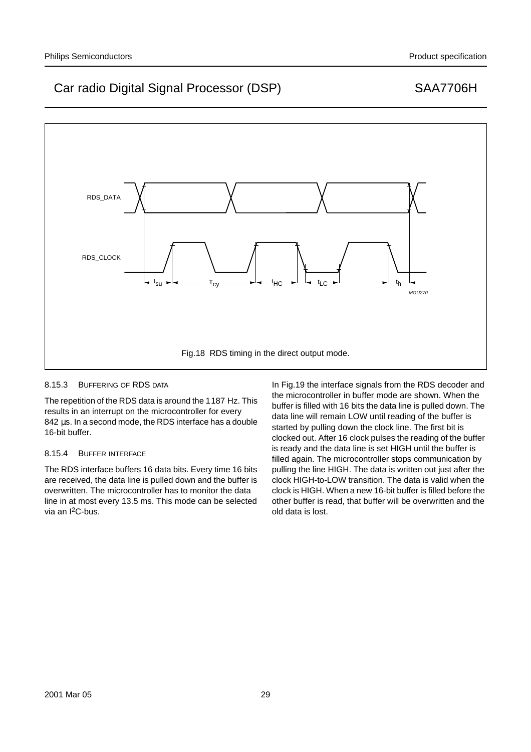

## 8.15.3 BUFFERING OF RDS DATA

The repetition of the RDS data is around the 1187 Hz. This results in an interrupt on the microcontroller for every 842 µs. In a second mode, the RDS interface has a double 16-bit buffer.

## 8.15.4 BUFFER INTERFACE

The RDS interface buffers 16 data bits. Every time 16 bits are received, the data line is pulled down and the buffer is overwritten. The microcontroller has to monitor the data line in at most every 13.5 ms. This mode can be selected via an I2C-bus.

In Fig.19 the interface signals from the RDS decoder and the microcontroller in buffer mode are shown. When the buffer is filled with 16 bits the data line is pulled down. The data line will remain LOW until reading of the buffer is started by pulling down the clock line. The first bit is clocked out. After 16 clock pulses the reading of the buffer is ready and the data line is set HIGH until the buffer is filled again. The microcontroller stops communication by pulling the line HIGH. The data is written out just after the clock HIGH-to-LOW transition. The data is valid when the clock is HIGH. When a new 16-bit buffer is filled before the other buffer is read, that buffer will be overwritten and the old data is lost.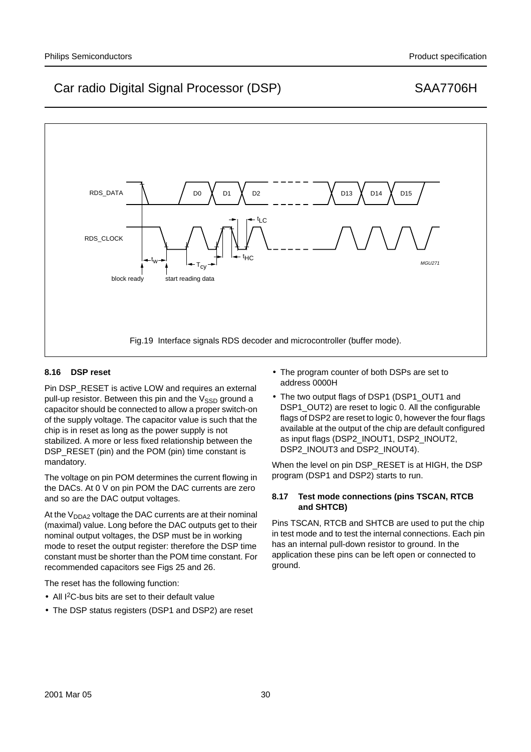# MGL 1271 RDS\_DATA D0 D1 D2 D13 D14 D15 RDS\_CLOCK t <sup>w</sup> <sup>t</sup> HC t LC block ready start reading data  $\mathsf{T}_{\mathsf{cy}}$ Fig.19 Interface signals RDS decoder and microcontroller (buffer mode).

# **8.16 DSP reset**

Pin DSP\_RESET is active LOW and requires an external pull-up resistor. Between this pin and the  $V<sub>SSD</sub>$  ground a capacitor should be connected to allow a proper switch-on of the supply voltage. The capacitor value is such that the chip is in reset as long as the power supply is not stabilized. A more or less fixed relationship between the DSP\_RESET (pin) and the POM (pin) time constant is mandatory.

The voltage on pin POM determines the current flowing in the DACs. At 0 V on pin POM the DAC currents are zero and so are the DAC output voltages.

At the  $V_{DDA2}$  voltage the DAC currents are at their nominal (maximal) value. Long before the DAC outputs get to their nominal output voltages, the DSP must be in working mode to reset the output register: therefore the DSP time constant must be shorter than the POM time constant. For recommended capacitors see Figs 25 and 26.

The reset has the following function:

- All I<sup>2</sup>C-bus bits are set to their default value
- The DSP status registers (DSP1 and DSP2) are reset
- The program counter of both DSPs are set to address 0000H
- The two output flags of DSP1 (DSP1\_OUT1 and DSP1\_OUT2) are reset to logic 0. All the configurable flags of DSP2 are reset to logic 0, however the four flags available at the output of the chip are default configured as input flags (DSP2\_INOUT1, DSP2\_INOUT2, DSP2\_INOUT3 and DSP2\_INOUT4).

When the level on pin DSP\_RESET is at HIGH, the DSP program (DSP1 and DSP2) starts to run.

## **8.17 Test mode connections (pins TSCAN, RTCB and SHTCB)**

Pins TSCAN, RTCB and SHTCB are used to put the chip in test mode and to test the internal connections. Each pin has an internal pull-down resistor to ground. In the application these pins can be left open or connected to ground.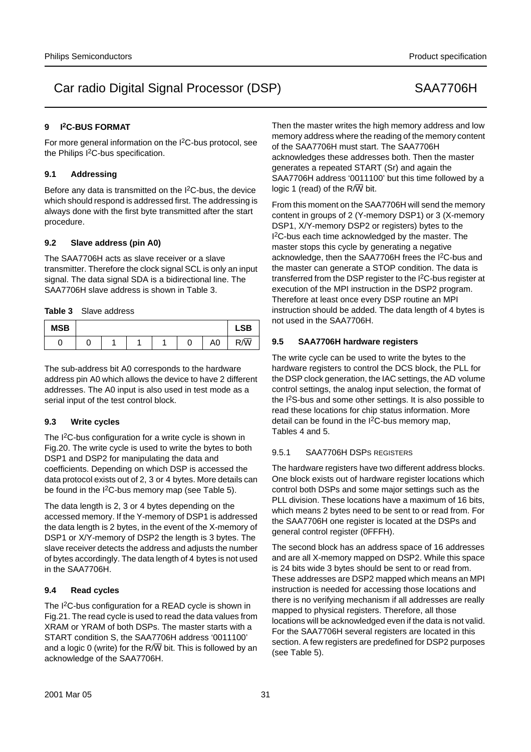## **9 I2C-BUS FORMAT**

For more general information on the I2C-bus protocol, see the Philips I<sup>2</sup>C-bus specification.

## **9.1 Addressing**

Before any data is transmitted on the I<sup>2</sup>C-bus, the device which should respond is addressed first. The addressing is always done with the first byte transmitted after the start procedure.

## **9.2 Slave address (pin A0)**

The SAA7706H acts as slave receiver or a slave transmitter. Therefore the clock signal SCL is only an input signal. The data signal SDA is a bidirectional line. The SAA7706H slave address is shown in Table 3.

**Table 3** Slave address

| <b>MSB</b> |  |  |   |                | <b>LSB</b> |
|------------|--|--|---|----------------|------------|
|            |  |  | U | A <sub>0</sub> | R/W        |

The sub-address bit A0 corresponds to the hardware address pin A0 which allows the device to have 2 different addresses. The A0 input is also used in test mode as a serial input of the test control block.

## **9.3 Write cycles**

The I<sup>2</sup>C-bus configuration for a write cycle is shown in Fig.20. The write cycle is used to write the bytes to both DSP1 and DSP2 for manipulating the data and coefficients. Depending on which DSP is accessed the data protocol exists out of 2, 3 or 4 bytes. More details can be found in the  $1^2C$ -bus memory map (see Table 5).

The data length is 2, 3 or 4 bytes depending on the accessed memory. If the Y-memory of DSP1 is addressed the data length is 2 bytes, in the event of the X-memory of DSP1 or X/Y-memory of DSP2 the length is 3 bytes. The slave receiver detects the address and adjusts the number of bytes accordingly. The data length of 4 bytes is not used in the SAA7706H.

## **9.4 Read cycles**

The I<sup>2</sup>C-bus configuration for a READ cycle is shown in Fig.21. The read cycle is used to read the data values from XRAM or YRAM of both DSPs. The master starts with a START condition S, the SAA7706H address '0011100' and a logic 0 (write) for the  $R/\overline{W}$  bit. This is followed by an acknowledge of the SAA7706H.

Then the master writes the high memory address and low memory address where the reading of the memory content of the SAA7706H must start. The SAA7706H acknowledges these addresses both. Then the master generates a repeated START (Sr) and again the SAA7706H address '0011100' but this time followed by a logic 1 (read) of the  $R/\overline{W}$  bit.

From this moment on the SAA7706H will send the memory content in groups of 2 (Y-memory DSP1) or 3 (X-memory DSP1, X/Y-memory DSP2 or registers) bytes to the I<sup>2</sup>C-bus each time acknowledged by the master. The master stops this cycle by generating a negative acknowledge, then the SAA7706H frees the I<sup>2</sup>C-bus and the master can generate a STOP condition. The data is transferred from the DSP register to the I<sup>2</sup>C-bus register at execution of the MPI instruction in the DSP2 program. Therefore at least once every DSP routine an MPI instruction should be added. The data length of 4 bytes is not used in the SAA7706H.

## **9.5 SAA7706H hardware registers**

The write cycle can be used to write the bytes to the hardware registers to control the DCS block, the PLL for the DSP clock generation, the IAC settings, the AD volume control settings, the analog input selection, the format of the I<sup>2</sup>S-bus and some other settings. It is also possible to read these locations for chip status information. More detail can be found in the  $l^2C$ -bus memory map, Tables 4 and 5.

## 9.5.1 SAA7706H DSPS REGISTERS

The hardware registers have two different address blocks. One block exists out of hardware register locations which control both DSPs and some major settings such as the PLL division. These locations have a maximum of 16 bits, which means 2 bytes need to be sent to or read from. For the SAA7706H one register is located at the DSPs and general control register (0FFFH).

The second block has an address space of 16 addresses and are all X-memory mapped on DSP2. While this space is 24 bits wide 3 bytes should be sent to or read from. These addresses are DSP2 mapped which means an MPI instruction is needed for accessing those locations and there is no verifying mechanism if all addresses are really mapped to physical registers. Therefore, all those locations will be acknowledged even if the data is not valid. For the SAA7706H several registers are located in this section. A few registers are predefined for DSP2 purposes (see Table 5).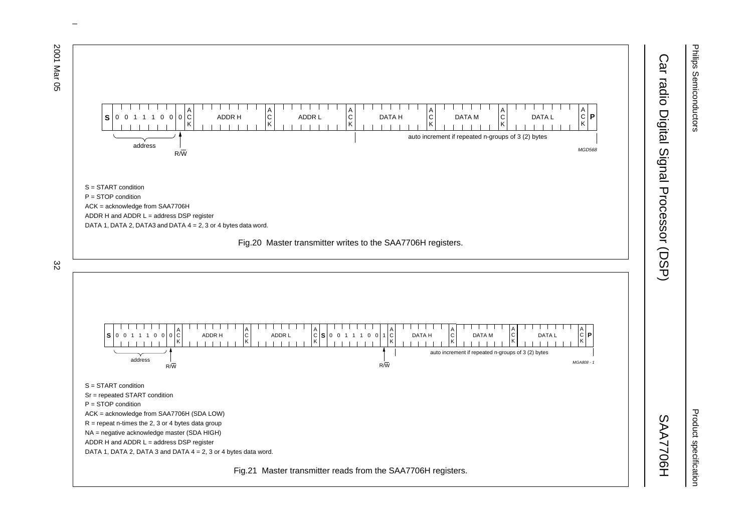

 $\omega$  rotated correctly when browsing through the pdf in the Acrobat reader.This text is here in the pdf in the  $\alpha$ 

Philips Semiconductors Philips Semiconductors

ಜ

Product specification Product specification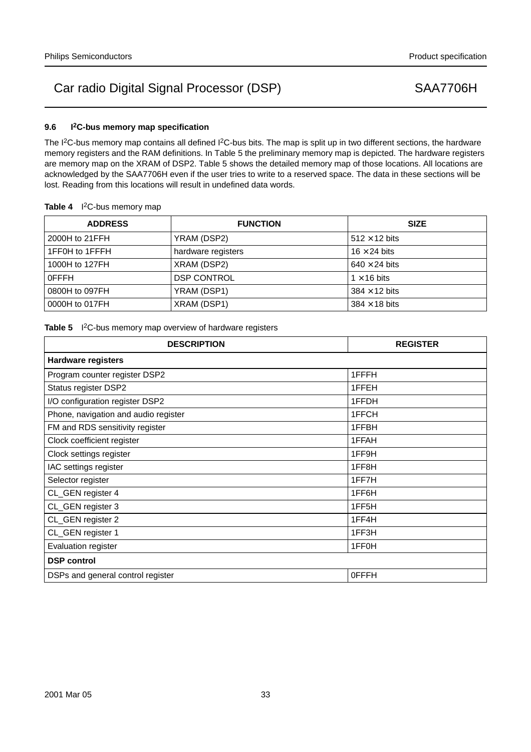## **9.6 I2C-bus memory map specification**

The I<sup>2</sup>C-bus memory map contains all defined I<sup>2</sup>C-bus bits. The map is split up in two different sections, the hardware memory registers and the RAM definitions. In Table 5 the preliminary memory map is depicted. The hardware registers are memory map on the XRAM of DSP2. Table 5 shows the detailed memory map of those locations. All locations are acknowledged by the SAA7706H even if the user tries to write to a reserved space. The data in these sections will be lost. Reading from this locations will result in undefined data words.

| Table 4 <sup>2</sup> C-bus memory map |  |
|---------------------------------------|--|
|---------------------------------------|--|

| <b>ADDRESS</b> | <b>FUNCTION</b>    | <b>SIZE</b>          |
|----------------|--------------------|----------------------|
| 2000H to 21FFH | YRAM (DSP2)        | $512 \times 12$ bits |
| 1FF0H to 1FFFH | hardware registers | $16 \times 24$ bits  |
| 1000H to 127FH | XRAM (DSP2)        | $640 \times 24$ bits |
| 0FFFH          | <b>DSP CONTROL</b> | $1 \times 16$ bits   |
| 0800H to 097FH | YRAM (DSP1)        | $384 \times 12$ bits |
| 0000H to 017FH | XRAM (DSP1)        | $384 \times 18$ bits |

## Table 5 <sup>2</sup>C-bus memory map overview of hardware registers

| <b>DESCRIPTION</b>                   | <b>REGISTER</b>    |
|--------------------------------------|--------------------|
| <b>Hardware registers</b>            |                    |
| Program counter register DSP2        | 1FFFH              |
| Status register DSP2                 | 1FFEH              |
| I/O configuration register DSP2      | 1FFDH              |
| Phone, navigation and audio register | 1FFCH              |
| FM and RDS sensitivity register      | 1FFBH              |
| Clock coefficient register           | 1FFAH              |
| Clock settings register              | 1FF9H              |
| IAC settings register                | 1FF8H              |
| Selector register                    | 1FF7H              |
| CL_GEN register 4                    | 1FF6H              |
| CL_GEN register 3                    | 1FF <sub>5</sub> H |
| CL_GEN register 2                    | 1FF4H              |
| CL_GEN register 1                    | 1FF3H              |
| Evaluation register                  | 1FF0H              |
| <b>DSP</b> control                   |                    |
| DSPs and general control register    | <b>OFFFH</b>       |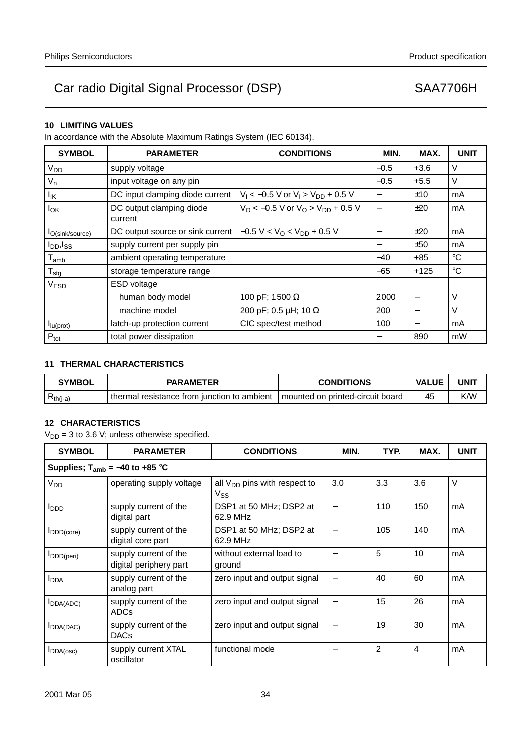# **10 LIMITING VALUES**

In accordance with the Absolute Maximum Ratings System (IEC 60134).

| <b>SYMBOL</b>               | <b>PARAMETER</b>                    | <b>CONDITIONS</b>                                               | MIN.   | MAX.                     | <b>UNIT</b> |
|-----------------------------|-------------------------------------|-----------------------------------------------------------------|--------|--------------------------|-------------|
| <b>V<sub>DD</sub></b>       | supply voltage                      |                                                                 | $-0.5$ | $+3.6$                   | V           |
| $V_{n}$                     | input voltage on any pin            |                                                                 | $-0.5$ | $+5.5$                   | V           |
| lικ                         | DC input clamping diode current     | $V_1 < -0.5$ V or $V_1 > V_{DD} + 0.5$ V                        |        | ±10                      | mA          |
| $I_{OK}$                    | DC output clamping diode<br>current | $V_{\Omega}$ < -0.5 V or $V_{\Omega}$ > $V_{\text{DD}}$ + 0.5 V |        | ±20                      | mA          |
| lO(sink/source)             | DC output source or sink current    | $-0.5 V < V0 < VDD + 0.5 V$                                     | -      | ±20                      | mA          |
| $I_{DD}$ , $I_{SS}$         | supply current per supply pin       |                                                                 |        | ±50                      | mA          |
| $\mathsf{T}_{\mathsf{amb}}$ | ambient operating temperature       |                                                                 | $-40$  | $+85$                    | $^{\circ}C$ |
| ${\sf T}_{\sf stg}$         | storage temperature range           |                                                                 | $-65$  | $+125$                   | $^{\circ}C$ |
| V <sub>ESD</sub>            | <b>ESD</b> voltage                  |                                                                 |        |                          |             |
|                             | human body model                    | 100 pF; 1500 Ω                                                  | 2000   | $\overline{\phantom{m}}$ | V           |
|                             | machine model                       | 200 pF; 0.5 $\mu$ H; 10 $\Omega$                                | 200    |                          | V           |
| I <sub>lu</sub> (prot)      | latch-up protection current         | CIC spec/test method                                            | 100    |                          | mA          |
| $P_{\text{tot}}$            | total power dissipation             |                                                                 |        | 890                      | mW          |

# **11 THERMAL CHARACTERISTICS**

| <b>SYMBOL</b> | <b>PARAMETER</b>                            | <b>CONDITIONS</b>                  | <b>VALUE</b> | UNI1 |
|---------------|---------------------------------------------|------------------------------------|--------------|------|
| $R_{th(i-a)}$ | thermal resistance from junction to ambient | I mounted on printed-circuit board | 45           | K/W  |

# **12 CHARACTERISTICS**

 $V_{DD}$  = 3 to 3.6 V; unless otherwise specified.

| <b>SYMBOL</b>           | <b>PARAMETER</b>                                | <b>CONDITIONS</b>                             | MIN. | TYP. | MAX. | <b>UNIT</b> |  |  |
|-------------------------|-------------------------------------------------|-----------------------------------------------|------|------|------|-------------|--|--|
|                         | Supplies; $T_{amb} = -40$ to +85 °C             |                                               |      |      |      |             |  |  |
| V <sub>DD</sub>         | operating supply voltage                        | all $V_{DD}$ pins with respect to<br>$V_{SS}$ | 3.0  | 3.3  | 3.6  | $\vee$      |  |  |
| <b>I</b> <sub>DDD</sub> | supply current of the<br>digital part           | DSP1 at 50 MHz; DSP2 at<br>62.9 MHz           |      | 110  | 150  | mA          |  |  |
| IDDD(core)              | supply current of the<br>digital core part      | DSP1 at 50 MHz; DSP2 at<br>62.9 MHz           |      | 105  | 140  | mA          |  |  |
| $I_{DD(D(\text{peri})}$ | supply current of the<br>digital periphery part | without external load to<br>ground            |      | 5    | 10   | mA          |  |  |
| <b>I</b> <sub>DDA</sub> | supply current of the<br>analog part            | zero input and output signal                  |      | 40   | 60   | mA          |  |  |
| <b>I</b> DDA(ADC)       | supply current of the<br><b>ADCs</b>            | zero input and output signal                  |      | 15   | 26   | mA          |  |  |
| <b>I</b> DDA(DAC)       | supply current of the<br><b>DACs</b>            | zero input and output signal                  |      | 19   | 30   | mA          |  |  |
| <b>I</b> DDA(osc)       | supply current XTAL<br>oscillator               | functional mode                               |      | 2    | 4    | mA          |  |  |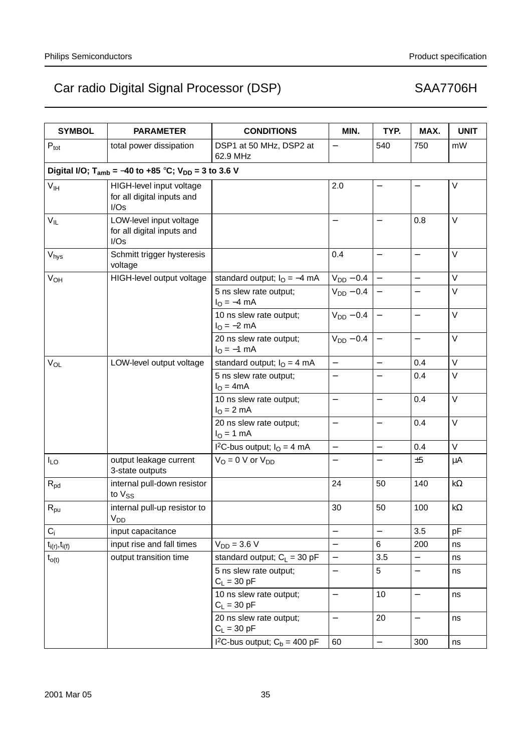| <b>SYMBOL</b>               | <b>PARAMETER</b>                                                            | <b>CONDITIONS</b>                                       | MIN.                     | TYP.                     | MAX.                     | <b>UNIT</b> |
|-----------------------------|-----------------------------------------------------------------------------|---------------------------------------------------------|--------------------------|--------------------------|--------------------------|-------------|
| $P_{\text{tot}}$            | total power dissipation                                                     | DSP1 at 50 MHz, DSP2 at<br>62.9 MHz                     |                          | 540                      | 750                      | mW          |
|                             | Digital I/O; T <sub>amb</sub> = -40 to +85 °C; V <sub>DD</sub> = 3 to 3.6 V |                                                         |                          |                          |                          |             |
| V <sub>IH</sub>             | HIGH-level input voltage<br>for all digital inputs and<br>I/Os              |                                                         | 2.0                      |                          |                          | V           |
| $V_{IL}$                    | LOW-level input voltage<br>for all digital inputs and<br>I/Os               |                                                         |                          |                          | 0.8                      | V           |
| $\mathsf{V}_{\mathsf{hys}}$ | Schmitt trigger hysteresis<br>voltage                                       |                                                         | 0.4                      |                          | $\qquad \qquad -$        | V           |
| <b>V<sub>OH</sub></b>       | HIGH-level output voltage                                                   | standard output; $IO = -4 mA$                           | $V_{DD}$ – 0.4           |                          | $\overline{\phantom{0}}$ | V           |
|                             |                                                                             | 5 ns slew rate output;<br>$I_{\rm O} = -4 \, \text{mA}$ | $V_{DD}$ – 0.4           | $\overline{\phantom{0}}$ | $\overline{\phantom{m}}$ | V           |
|                             |                                                                             | 10 ns slew rate output;<br>$I_{\rm O} = -2$ mA          | $V_{DD}$ – 0.4           |                          |                          | V           |
|                             |                                                                             | 20 ns slew rate output;<br>$I_{O} = -1$ mA              | $V_{DD}$ – 0.4           | $\overline{\phantom{m}}$ | $\qquad \qquad -$        | V           |
| $V_{OL}$                    | LOW-level output voltage                                                    | standard output; $IO = 4 mA$                            | $\frac{1}{2}$            | $\overline{\phantom{0}}$ | 0.4                      | $\vee$      |
|                             |                                                                             | 5 ns slew rate output;<br>$IO = 4mA$                    | $\overline{\phantom{0}}$ |                          | 0.4                      | V           |
|                             |                                                                             | 10 ns slew rate output;<br>$IO = 2 mA$                  | $\overline{\phantom{0}}$ | $\overline{\phantom{0}}$ | 0.4                      | V           |
|                             |                                                                             | 20 ns slew rate output;<br>$I_{O} = 1$ mA               | $\qquad \qquad -$        | —                        | 0.4                      | V           |
|                             |                                                                             | I <sup>2</sup> C-bus output; $IO = 4 mA$                | $\qquad \qquad -$        | $\overline{\phantom{0}}$ | 0.4                      | V           |
| $I_{LO}$                    | output leakage current<br>3-state outputs                                   | $V_O = 0$ V or $V_{DD}$                                 |                          | —                        | ±5                       | μA          |
| $\mathsf{R}_{\text{pd}}$    | internal pull-down resistor<br>to V <sub>SS</sub>                           |                                                         | 24                       | 50                       | 140                      | k $\Omega$  |
| $R_{\text{pu}}$             | internal pull-up resistor to<br>$V_{DD}$ <sub>-</sub>                       |                                                         | 30                       | 50                       | 100                      | $k\Omega$   |
| $C_i$                       | input capacitance                                                           |                                                         |                          | $\overline{\phantom{0}}$ | 3.5                      | pF          |
| $t_{i(r)}, t_{i(f)}$        | input rise and fall times                                                   | $V_{DD} = 3.6 V$                                        | $\overline{\phantom{0}}$ | 6                        | 200                      | ns          |
| $t_{o(t)}$                  | output transition time                                                      | standard output; $C_L = 30$ pF                          |                          | 3.5                      |                          | ns          |
|                             |                                                                             | 5 ns slew rate output;<br>$C_L = 30 pF$                 |                          | 5                        |                          | ns          |
|                             |                                                                             | 10 ns slew rate output;<br>$C_L = 30$ pF                |                          | 10                       | $\qquad \qquad -$        | ns          |
|                             |                                                                             | 20 ns slew rate output;<br>$C_L = 30$ pF                | $\qquad \qquad -$        | 20                       | $\qquad \qquad -$        | ns          |
|                             |                                                                             | $1^2$ C-bus output; C <sub>b</sub> = 400 pF             | 60                       |                          | 300                      | ns          |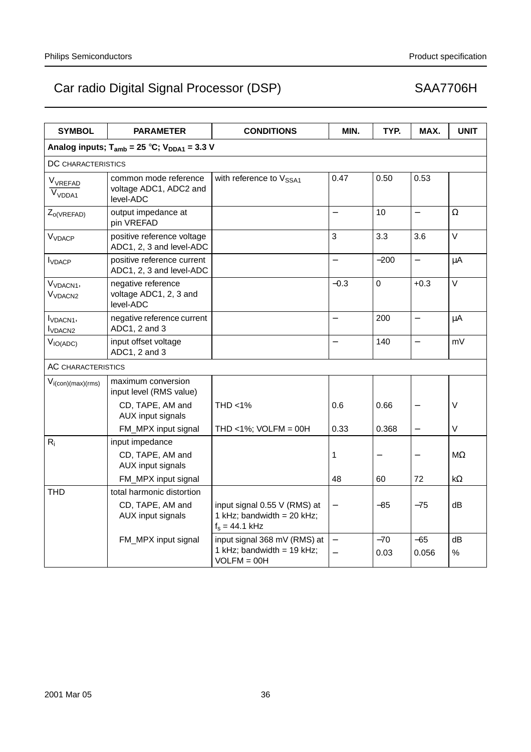| <b>SYMBOL</b>                                        | <b>PARAMETER</b>                                                                | <b>CONDITIONS</b>                                                              | MIN.                     | TYP.                           | MAX.                     | <b>UNIT</b>     |
|------------------------------------------------------|---------------------------------------------------------------------------------|--------------------------------------------------------------------------------|--------------------------|--------------------------------|--------------------------|-----------------|
|                                                      | Analog inputs; $T_{amb}$ = 25 °C; $V_{DDA1}$ = 3.3 V                            |                                                                                |                          |                                |                          |                 |
| DC CHARACTERISTICS                                   |                                                                                 |                                                                                |                          |                                |                          |                 |
| $V_{VREFAD}$<br>V <sub>VDDA1</sub>                   | common mode reference<br>voltage ADC1, ADC2 and<br>level-ADC                    | with reference to V <sub>SSA1</sub>                                            | 0.47                     | 0.50                           | 0.53                     |                 |
| $Z_{o(VREFAD)}$                                      | output impedance at<br>pin VREFAD                                               |                                                                                | $\equiv$                 | 10                             | $\equiv$                 | $\Omega$        |
| <b>V<sub>VDACP</sub></b>                             | positive reference voltage<br>ADC1, 2, 3 and level-ADC                          |                                                                                | 3                        | 3.3                            | 3.6                      | $\vee$          |
| <b>I</b> VDACP                                       | positive reference current<br>ADC1, 2, 3 and level-ADC                          |                                                                                |                          | $-200$                         | $\equiv$                 | μA              |
| V <sub>VDACN1</sub> ,<br>V <sub>VDACN2</sub>         | negative reference<br>voltage ADC1, 2, 3 and<br>level-ADC                       |                                                                                | $-0.3$                   | $\pmb{0}$                      | $+0.3$                   | $\vee$          |
| I <sub>VDACN1</sub> ,<br><b>I</b> VDACN <sub>2</sub> | negative reference current<br>ADC1, 2 and 3                                     |                                                                                |                          | 200                            | $\overline{\phantom{0}}$ | μA              |
| $V_{IO(ADC)}$                                        | input offset voltage<br>ADC1, 2 and 3                                           |                                                                                |                          | 140                            |                          | mV              |
| <b>AC CHARACTERISTICS</b>                            |                                                                                 |                                                                                |                          |                                |                          |                 |
| $V_{i(con)(max)(rms)}$                               | maximum conversion<br>input level (RMS value)                                   |                                                                                |                          |                                |                          |                 |
|                                                      | CD, TAPE, AM and<br>AUX input signals                                           | THD <1%                                                                        | 0.6                      | 0.66                           |                          | $\vee$          |
|                                                      | FM_MPX input signal                                                             | THD <1%; $VOLFM = 00H$                                                         | 0.33                     | 0.368                          | $\qquad \qquad -$        | V               |
| $R_i$                                                | input impedance<br>CD, TAPE, AM and<br>AUX input signals<br>FM_MPX input signal |                                                                                | 1<br>48                  | $\overline{\phantom{0}}$<br>60 | 72                       | MΩ<br>$k\Omega$ |
| THD                                                  | total harmonic distortion                                                       |                                                                                |                          |                                |                          |                 |
|                                                      | CD, TAPE, AM and<br>AUX input signals                                           | input signal 0.55 V (RMS) at<br>1 kHz; bandwidth = 20 kHz;<br>$f_s = 44.1$ kHz |                          | $-85$                          | $-75$                    | dВ              |
|                                                      | FM_MPX input signal                                                             | input signal 368 mV (RMS) at<br>1 kHz; bandwidth = $19$ kHz;<br>$VOLFM = OOH$  | $\overline{\phantom{0}}$ | $-70$<br>0.03                  | $-65$<br>0.056           | dB<br>$\%$      |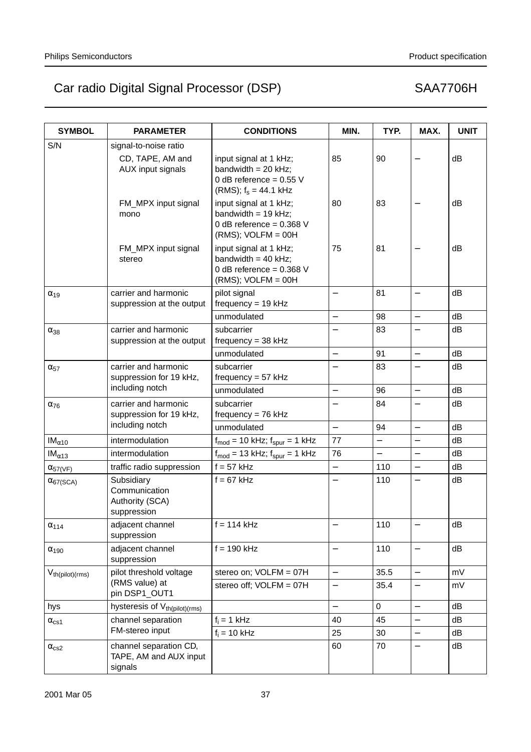| <b>SYMBOL</b>         | <b>PARAMETER</b>                                              | <b>CONDITIONS</b>                                                                                       | MIN.                     | TYP.                     | MAX.                     | <b>UNIT</b> |
|-----------------------|---------------------------------------------------------------|---------------------------------------------------------------------------------------------------------|--------------------------|--------------------------|--------------------------|-------------|
| S/N                   | signal-to-noise ratio                                         |                                                                                                         |                          |                          |                          |             |
|                       | CD, TAPE, AM and<br>AUX input signals                         | input signal at 1 kHz;<br>bandwidth = $20$ kHz;<br>0 dB reference = $0.55$ V<br>(RMS); $f_s = 44.1$ kHz | 85                       | 90                       |                          | dB          |
|                       | FM_MPX input signal<br>mono                                   | input signal at 1 kHz;<br>bandwidth = $19$ kHz;<br>0 dB reference = $0.368$ V<br>$(RMS)$ ; VOLFM = 00H  | 80                       | 83                       |                          | dВ          |
|                       | FM_MPX input signal<br>stereo                                 | input signal at 1 kHz;<br>bandwidth = $40$ kHz;<br>0 dB reference = $0.368$ V<br>$(RMS)$ ; VOLFM = 00H  | 75                       | 81                       |                          | dВ          |
| $\alpha_{19}$         | carrier and harmonic<br>suppression at the output             | pilot signal<br>$frequency = 19 kHz$                                                                    | $\overline{\phantom{0}}$ | 81                       | $\qquad \qquad -$        | dB          |
|                       |                                                               | unmodulated                                                                                             | $\overline{\phantom{0}}$ | 98                       | $\overline{\phantom{0}}$ | dB          |
| $\alpha_{38}$         | carrier and harmonic<br>suppression at the output             | subcarrier<br>$frequency = 38 kHz$                                                                      |                          | 83                       |                          | dB          |
|                       |                                                               | unmodulated                                                                                             |                          | 91                       | $\equiv$                 | dB          |
| $\alpha_{57}$         | carrier and harmonic<br>suppression for 19 kHz,               | subcarrier<br>frequency = $57$ kHz                                                                      |                          | 83                       | $\overline{\phantom{0}}$ | dB          |
|                       | including notch                                               | unmodulated                                                                                             | $\overline{\phantom{0}}$ | 96                       | $\overline{\phantom{0}}$ | dB          |
| $\alpha_{76}$         | carrier and harmonic<br>suppression for 19 kHz,               | subcarrier<br>frequency = $76$ kHz                                                                      |                          | 84                       |                          | dB          |
|                       | including notch                                               | unmodulated                                                                                             | $\overline{\phantom{0}}$ | 94                       | $\overline{\phantom{0}}$ | dB          |
| $IM_{\alpha10}$       | intermodulation                                               | $f_{\text{mod}} = 10$ kHz; $f_{\text{spur}} = 1$ kHz                                                    | 77                       | $\overline{\phantom{0}}$ | $\overline{\phantom{0}}$ | dB          |
| $IM_{\alpha13}$       | intermodulation                                               | $f_{\text{mod}} = 13$ kHz; $f_{\text{spur}} = 1$ kHz                                                    | 76                       | $\overline{\phantom{0}}$ | $\overline{\phantom{0}}$ | dB          |
| $\alpha_{57(VF)}$     | traffic radio suppression                                     | $f = 57$ kHz                                                                                            |                          | 110                      | $\overline{\phantom{0}}$ | dB          |
| $\alpha_{67(SCA)}$    | Subsidiary<br>Communication<br>Authority (SCA)<br>suppression | $f = 67$ kHz                                                                                            | $\overline{\phantom{0}}$ | 110                      | $\overline{\phantom{0}}$ | dB          |
| $\alpha_{114}$        | adjacent channel<br>suppression                               | $f = 114$ kHz                                                                                           |                          | 110                      |                          | dB          |
| $\alpha_{190}$        | adjacent channel<br>suppression                               | $f = 190$ kHz                                                                                           |                          | 110                      | $\qquad \qquad -$        | dB          |
| $V_{th(pilot)(rms)}$  | pilot threshold voltage                                       | stereo on; VOLFM = 07H                                                                                  | $\equiv$                 | 35.5                     | $\overline{\phantom{0}}$ | mV          |
|                       | (RMS value) at<br>pin DSP1_OUT1                               | stereo off; VOLFM = 07H                                                                                 |                          | 35.4                     |                          | mV          |
| hys                   | hysteresis of V <sub>th(pilot)</sub> (rms)                    |                                                                                                         | $\overline{\phantom{0}}$ | $\mathbf 0$              | $\overline{\phantom{0}}$ | dB          |
| $\alpha_{\text{cs1}}$ | channel separation                                            | $f_i = 1$ kHz                                                                                           | 40                       | 45                       | $\qquad \qquad -$        | dB          |
|                       | FM-stereo input                                               | $f_i = 10$ kHz                                                                                          | 25                       | 30                       | $\overline{\phantom{0}}$ | dB          |
| $\alpha_{cs2}$        | channel separation CD,<br>TAPE, AM and AUX input<br>signals   |                                                                                                         | 60                       | 70                       |                          | dB          |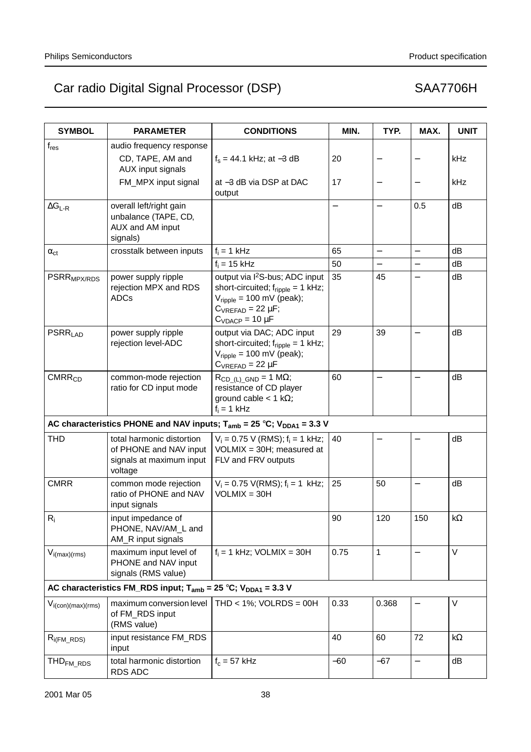| <b>SYMBOL</b>             | <b>PARAMETER</b>                                                                           | <b>CONDITIONS</b>                                                                                                                                                                           | MIN.  | TYP.                     | MAX.              | <b>UNIT</b> |
|---------------------------|--------------------------------------------------------------------------------------------|---------------------------------------------------------------------------------------------------------------------------------------------------------------------------------------------|-------|--------------------------|-------------------|-------------|
| $f_{res}$                 | audio frequency response                                                                   |                                                                                                                                                                                             |       |                          |                   |             |
|                           | CD, TAPE, AM and<br>AUX input signals                                                      | $f_s = 44.1$ kHz; at -3 dB                                                                                                                                                                  | 20    |                          |                   | kHz         |
|                           | FM_MPX input signal                                                                        | at -3 dB via DSP at DAC<br>output                                                                                                                                                           | 17    |                          |                   | kHz         |
| $\Delta G_{L-R}$          | overall left/right gain<br>unbalance (TAPE, CD,<br>AUX and AM input<br>signals)            |                                                                                                                                                                                             |       | $\overline{\phantom{0}}$ | 0.5               | dB          |
| $\alpha_{ct}$             | crosstalk between inputs                                                                   | $f_i = 1$ kHz                                                                                                                                                                               | 65    | $\overline{\phantom{0}}$ | $\overline{a}$    | dB          |
|                           |                                                                                            | $f_i = 15$ kHz                                                                                                                                                                              | 50    | $\overline{\phantom{0}}$ | $\qquad \qquad -$ | dB          |
| PSRR <sub>MPX/RDS</sub>   | power supply ripple<br>rejection MPX and RDS<br>ADCs                                       | output via l <sup>2</sup> S-bus; ADC input<br>short-circuited; $f_{\text{ripole}} = 1$ kHz;<br>$V_{\text{ripole}}$ = 100 mV (peak);<br>$C_{VREFAD}$ = 22 $\mu$ F;<br>$C_{VDACP} = 10 \mu F$ | 35    | 45                       |                   | dB          |
| <b>PSRR<sub>LAD</sub></b> | power supply ripple<br>rejection level-ADC                                                 | output via DAC; ADC input<br>short-circuited; $f_{\text{ripole}} = 1$ kHz;<br>$V_{\text{ripole}}$ = 100 mV (peak);<br>$C_{VREFAD}$ = 22 µF                                                  | 29    | 39                       |                   | dB          |
| CMRR <sub>CD</sub>        | common-mode rejection<br>ratio for CD input mode                                           | $R_{CD_(L)_GND} = 1 M\Omega;$<br>resistance of CD player<br>ground cable $<$ 1 k $\Omega$ ;<br>$f_i = 1$ kHz                                                                                | 60    | $\qquad \qquad -$        | $\equiv$          | dB          |
|                           |                                                                                            | AC characteristics PHONE and NAV inputs; $T_{amb} = 25 °C$ ; $V_{DDA1} = 3.3 V$                                                                                                             |       |                          |                   |             |
| <b>THD</b>                | total harmonic distortion<br>of PHONE and NAV input<br>signals at maximum input<br>voltage | $V_i = 0.75$ V (RMS); $f_i = 1$ kHz;<br>$VOLMIX = 30H$ ; measured at<br>FLV and FRV outputs                                                                                                 | 40    |                          |                   | dB          |
| <b>CMRR</b>               | common mode rejection<br>ratio of PHONE and NAV<br>input signals                           | $V_i = 0.75$ V(RMS); $f_i = 1$ kHz;<br>$VOLMIX = 30H$                                                                                                                                       | 25    | 50                       | $\qquad \qquad -$ | dB          |
| $ R_i$                    | input impedance of<br>PHONE, NAV/AM_L and<br>AM_R input signals                            |                                                                                                                                                                                             | 90    | 120                      | 150               | k $\Omega$  |
| $V_{i(max)(rms)}$         | maximum input level of<br>PHONE and NAV input<br>signals (RMS value)                       | $f_i = 1$ kHz; VOLMIX = 30H                                                                                                                                                                 | 0.75  | 1                        |                   | $\vee$      |
|                           | AC characteristics FM_RDS input; $T_{amb}$ = 25 °C; $V_{DDA1}$ = 3.3 V                     |                                                                                                                                                                                             |       |                          |                   |             |
| $V_{i(con)(max)(rms)}$    | maximum conversion level<br>of FM_RDS input<br>(RMS value)                                 | THD < $1\%$ ; VOLRDS = 00H                                                                                                                                                                  | 0.33  | 0.368                    |                   | V           |
| $R_{i(FM\_RDS)}$          | input resistance FM_RDS<br>input                                                           |                                                                                                                                                                                             | 40    | 60                       | 72                | $k\Omega$   |
| THD <sub>FM_RDS</sub>     | total harmonic distortion<br><b>RDS ADC</b>                                                | $f_c = 57$ kHz                                                                                                                                                                              | $-60$ | $-67$                    | $\qquad \qquad -$ | dB          |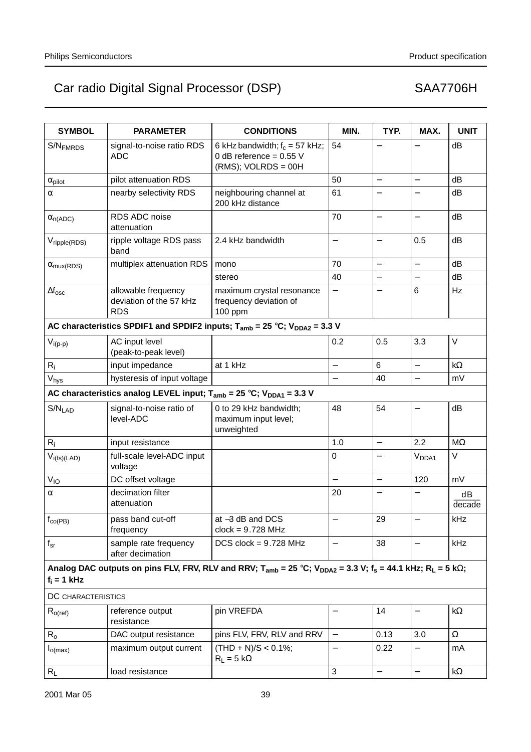| <b>SYMBOL</b>              | <b>PARAMETER</b>                                                              | <b>CONDITIONS</b>                                                                                                                          | MIN.                     | TYP.                     | MAX.                     | <b>UNIT</b>  |
|----------------------------|-------------------------------------------------------------------------------|--------------------------------------------------------------------------------------------------------------------------------------------|--------------------------|--------------------------|--------------------------|--------------|
| S/N <sub>FMRDS</sub>       | signal-to-noise ratio RDS<br><b>ADC</b>                                       | 6 kHz bandwidth; $f_c = 57$ kHz;<br>0 dB reference = $0.55$ V<br>$(RMS)$ ; VOLRDS = 00H                                                    | 54                       |                          |                          | dB           |
| $\alpha_{\text{pilot}}$    | pilot attenuation RDS                                                         |                                                                                                                                            | 50                       | $\overline{\phantom{0}}$ | $\overline{\phantom{0}}$ | dB           |
| α                          | nearby selectivity RDS                                                        | neighbouring channel at<br>200 kHz distance                                                                                                | 61                       | $\overline{\phantom{0}}$ |                          | dB           |
| $\alpha_{n(ADC)}$          | RDS ADC noise<br>attenuation                                                  |                                                                                                                                            | 70                       | $\qquad \qquad -$        | —                        | dB           |
| Vripple(RDS)               | ripple voltage RDS pass<br>band                                               | 2.4 kHz bandwidth                                                                                                                          |                          |                          | 0.5                      | dB           |
| $\alpha_{\text{mux(RDS)}}$ | multiplex attenuation RDS                                                     | mono                                                                                                                                       | 70                       | $\overline{\phantom{0}}$ | $\overline{\phantom{0}}$ | dB           |
|                            |                                                                               | stereo                                                                                                                                     | 40                       |                          |                          | dB           |
| $\Delta f_{\rm osc}$       | allowable frequency<br>deviation of the 57 kHz<br><b>RDS</b>                  | maximum crystal resonance<br>frequency deviation of<br>100 ppm                                                                             |                          | $\overline{\phantom{0}}$ | 6                        | Hz           |
|                            |                                                                               | AC characteristics SPDIF1 and SPDIF2 inputs; $T_{amb} = 25 °C$ ; $V_{DDA2} = 3.3 V$                                                        |                          |                          |                          |              |
| $V_{i(p-p)}$               | AC input level<br>(peak-to-peak level)                                        |                                                                                                                                            | 0.2                      | 0.5                      | 3.3                      | V            |
| $R_i$                      | input impedance                                                               | at 1 kHz                                                                                                                                   | $\overline{\phantom{0}}$ | $6\phantom{1}$           | $\overline{\phantom{0}}$ | $k\Omega$    |
| V <sub>hys</sub>           | hysteresis of input voltage                                                   |                                                                                                                                            |                          | 40                       | $\overline{a}$           | mV           |
|                            | AC characteristics analog LEVEL input; $T_{amb} = 25 °C$ ; $V_{DDA1} = 3.3 V$ |                                                                                                                                            |                          |                          |                          |              |
| $S/N_{LAD}$                | signal-to-noise ratio of<br>level-ADC                                         | 0 to 29 kHz bandwidth;<br>maximum input level;<br>unweighted                                                                               | 48                       | 54                       | $\overline{\phantom{0}}$ | dB           |
| $R_i$                      | input resistance                                                              |                                                                                                                                            | 1.0                      | $\qquad \qquad -$        | 2.2                      | $M\Omega$    |
| $V_{i(fs)(LAD)}$           | full-scale level-ADC input<br>voltage                                         |                                                                                                                                            | $\mathbf 0$              |                          | V <sub>DDA1</sub>        | V            |
| $V_{IO}$                   | DC offset voltage                                                             |                                                                                                                                            | $\overline{a}$           | $\qquad \qquad -$        | 120                      | mV           |
| α                          | decimation filter<br>attenuation                                              |                                                                                                                                            | 20                       |                          |                          | dB<br>decade |
| $f_{\text{co(PB)}}$        | pass band cut-off<br>frequency                                                | at -3 dB and DCS<br>$clock = 9.728 MHz$                                                                                                    |                          | 29                       |                          | kHz          |
| $f_{\rm sr}$               | sample rate frequency<br>after decimation                                     | DCS clock = $9.728$ MHz                                                                                                                    | $\overline{\phantom{0}}$ | 38                       | $\overline{\phantom{0}}$ | kHz          |
| $f_i = 1$ kHz              |                                                                               | Analog DAC outputs on pins FLV, FRV, RLV and RRV; $T_{amb}$ = 25 °C; $V_{DDA2}$ = 3.3 V; $f_s$ = 44.1 kHz; R <sub>L</sub> = 5 k $\Omega$ ; |                          |                          |                          |              |
| DC CHARACTERISTICS         |                                                                               |                                                                                                                                            |                          |                          |                          |              |
| $R_{o(ref)}$               | reference output<br>resistance                                                | pin VREFDA                                                                                                                                 |                          | 14                       |                          | $k\Omega$    |
| $R_{o}$                    | DAC output resistance                                                         | pins FLV, FRV, RLV and RRV                                                                                                                 | $\overline{\phantom{0}}$ | 0.13                     | 3.0                      | Ω            |
| $I_{O(max)}$               | maximum output current                                                        | $(THD + N)/S < 0.1\%$ ;<br>$R_L = 5 k\Omega$                                                                                               |                          | 0.22                     |                          | mA           |
| $R_L$                      | load resistance                                                               |                                                                                                                                            | $\sqrt{3}$               | $\overline{\phantom{0}}$ | $\overline{\phantom{0}}$ | k $\Omega$   |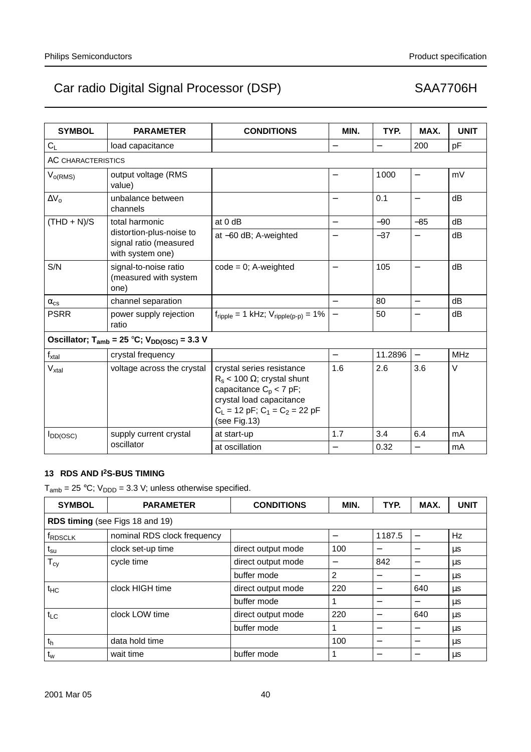| <b>SYMBOL</b>             | <b>PARAMETER</b>                                                       | <b>CONDITIONS</b>                                                                                                                                                                  | MIN.                     | TYP.     | MAX.                     | <b>UNIT</b> |
|---------------------------|------------------------------------------------------------------------|------------------------------------------------------------------------------------------------------------------------------------------------------------------------------------|--------------------------|----------|--------------------------|-------------|
| $C_L$                     | load capacitance                                                       |                                                                                                                                                                                    | $\overline{\phantom{0}}$ | $\equiv$ | 200                      | pF          |
| <b>AC CHARACTERISTICS</b> |                                                                        |                                                                                                                                                                                    |                          |          |                          |             |
| $V_{o(RMS)}$              | output voltage (RMS<br>value)                                          |                                                                                                                                                                                    | $\overline{\phantom{0}}$ | 1000     | $\overline{\phantom{0}}$ | mV          |
| $\Delta V_{o}$            | unbalance between<br>channels                                          |                                                                                                                                                                                    |                          | 0.1      | $\overline{\phantom{m}}$ | dB          |
| $(THD + N)/S$             | total harmonic                                                         | at $0$ dB                                                                                                                                                                          |                          | $-90$    | $-85$                    | dB          |
|                           | distortion-plus-noise to<br>signal ratio (measured<br>with system one) | at -60 dB; A-weighted                                                                                                                                                              |                          | $-37$    |                          | dB          |
| S/N                       | signal-to-noise ratio<br>(measured with system<br>one)                 | $code = 0$ ; A-weighted                                                                                                                                                            |                          | 105      |                          | dB          |
| $\alpha_{\rm cs}$         | channel separation                                                     |                                                                                                                                                                                    |                          | 80       | $\overline{\phantom{0}}$ | dB          |
| <b>PSRR</b>               | power supply rejection<br>ratio                                        | $f_{\text{ripole}} = 1 \text{ kHz}$ ; $V_{\text{ripole}(p-p)} = 1\%$                                                                                                               |                          | 50       |                          | dB          |
|                           | Oscillator; $T_{amb} = 25 °C$ ; $V_{DD(OSC)} = 3.3 V$                  |                                                                                                                                                                                    |                          |          |                          |             |
| $f_{xtal}$                | crystal frequency                                                      |                                                                                                                                                                                    |                          | 11.2896  |                          | <b>MHz</b>  |
| $V_{xtal}$                | voltage across the crystal                                             | crystal series resistance<br>$R_s$ < 100 $\Omega$ ; crystal shunt<br>capacitance $C_p < 7$ pF;<br>crystal load capacitance<br>$C_L$ = 12 pF; $C_1$ = $C_2$ = 22 pF<br>(see Fig.13) | 1.6                      | 2.6      | 3.6                      | $\vee$      |
| $I_{DD(OSC)}$             | supply current crystal                                                 | at start-up                                                                                                                                                                        | 1.7                      | 3.4      | 6.4                      | mA          |
|                           | oscillator                                                             | at oscillation                                                                                                                                                                     |                          | 0.32     | $\overline{\phantom{0}}$ | mA          |

# **13 RDS AND I2S-BUS TIMING**

 $T_{amb}$  = 25 °C;  $V_{DDD}$  = 3.3 V; unless otherwise specified.

| <b>SYMBOL</b>              | <b>PARAMETER</b>                | <b>CONDITIONS</b>  | MIN.           | TYP.   | MAX.                     | <b>UNIT</b> |
|----------------------------|---------------------------------|--------------------|----------------|--------|--------------------------|-------------|
|                            | RDS timing (see Figs 18 and 19) |                    |                |        |                          |             |
| <b>f</b> <sub>RDSCLK</sub> | nominal RDS clock frequency     |                    |                | 1187.5 |                          | Hz          |
| t <sub>su</sub>            | clock set-up time               | direct output mode | 100            | —      |                          | μs          |
| $T_{cy}$                   | cycle time                      | direct output mode |                | 842    |                          | μs          |
|                            |                                 | buffer mode        | $\overline{2}$ |        |                          | μs          |
| tнс                        | clock HIGH time                 | direct output mode | 220            |        | 640                      | μs          |
|                            |                                 | buffer mode        |                | —      |                          | μs          |
| $t_{LC}$                   | clock LOW time                  | direct output mode | 220            | —      | 640                      | μs          |
|                            |                                 | buffer mode        |                | —      |                          | μs          |
| t <sub>h</sub>             | data hold time                  |                    | 100            | —      | $\overline{\phantom{0}}$ | μs          |
| $t_{w}$                    | wait time                       | buffer mode        |                |        |                          | μs          |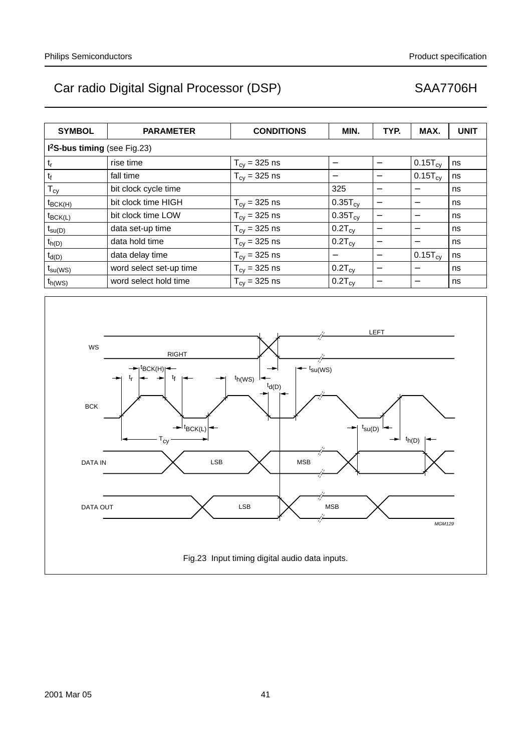| <b>SYMBOL</b>                 | <b>PARAMETER</b>        | <b>CONDITIONS</b>                | MIN.                | TYP.              | MAX.                     | <b>UNIT</b> |
|-------------------------------|-------------------------|----------------------------------|---------------------|-------------------|--------------------------|-------------|
| $l2S-bus timing (see Fig.23)$ |                         |                                  |                     |                   |                          |             |
| t,                            | rise time               | $T_{cy} = 325$ ns                |                     | —                 | $0.15T_{\text{cv}}$      | ns          |
| t <sub>f</sub>                | fall time               | $T_{cy} = 325$ ns                |                     |                   | $0.15T_{\text{cv}}$      | ns          |
| $T_{cy}$                      | bit clock cycle time    |                                  | 325                 |                   |                          | ns          |
| $t_{\text{BCK(H)}}$           | bit clock time HIGH     | $T_{cy} = 325$ ns                | $0.35T_{\text{cv}}$ | —                 | $\overline{\phantom{m}}$ | ns          |
| $t_{\text{BCK(L)}}$           | bit clock time LOW      | $T_{cy} = 325$ ns                | $0.35T_{cy}$        | —                 |                          | ns          |
| $t_{\text{su}(D)}$            | data set-up time        | $T_{\text{cv}} = 325 \text{ ns}$ | $0.2T_{\text{cv}}$  |                   |                          | ns          |
| $t_{h(D)}$                    | data hold time          | $T_{\text{cv}} = 325 \text{ ns}$ | $0.2T_{\text{cv}}$  | $\qquad \qquad$   |                          | ns          |
| $t_{d(D)}$                    | data delay time         | $T_{\text{cv}} = 325 \text{ ns}$ |                     | $\qquad \qquad$   | $0.15T_{\text{cv}}$      | ns          |
| $t_{\text{su(WS)}}$           | word select set-up time | $T_{cy} = 325$ ns                | $0.2T_{\text{cv}}$  | $\qquad \qquad -$ |                          | ns          |
| $t_{h(WS)}$                   | word select hold time   | $T_{\text{cv}} = 325 \text{ ns}$ | $0.2T_{\text{cv}}$  |                   |                          | ns          |

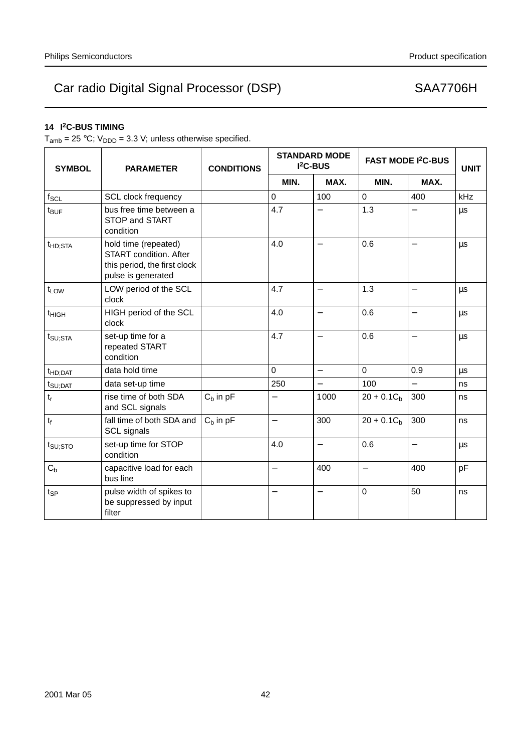# **14 I2C-BUS TIMING**

 $T_{amb} = 25 °C$ ;  $V_{DDD} = 3.3 V$ ; unless otherwise specified.

| <b>SYMBOL</b>          | <b>PARAMETER</b>                                                                                            | <b>CONDITIONS</b> | <b>STANDARD MODE</b><br>I <sup>2</sup> C-BUS |                          | <b>FAST MODE I<sup>2</sup>C-BUS</b> |                          | <b>UNIT</b> |
|------------------------|-------------------------------------------------------------------------------------------------------------|-------------------|----------------------------------------------|--------------------------|-------------------------------------|--------------------------|-------------|
|                        |                                                                                                             |                   | MIN.                                         | MAX.                     | MIN.                                | MAX.                     |             |
| $f_{SCL}$              | <b>SCL clock frequency</b>                                                                                  |                   | $\mathbf 0$                                  | 100                      | 0                                   | 400                      | kHz         |
| $t_{\text{BUF}}$       | bus free time between a<br>STOP and START<br>condition                                                      |                   | 4.7                                          | $\overline{\phantom{0}}$ | 1.3                                 |                          | μs          |
| t <sub>HD;STA</sub>    | hold time (repeated)<br><b>START</b> condition. After<br>this period, the first clock<br>pulse is generated |                   | 4.0                                          | $\overline{\phantom{0}}$ | 0.6                                 | $\overline{\phantom{0}}$ | μs          |
| t <sub>LOW</sub>       | LOW period of the SCL<br>clock                                                                              |                   | 4.7                                          | $\overline{\phantom{0}}$ | 1.3                                 | $\overline{\phantom{0}}$ | μs          |
| $t_{\text{HIGH}}$      | HIGH period of the SCL<br>clock                                                                             |                   | 4.0                                          |                          | 0.6                                 |                          | $\mu s$     |
| $t_{\text{SU;STA}}$    | set-up time for a<br>repeated START<br>condition                                                            |                   | 4.7                                          | $\overline{\phantom{0}}$ | 0.6                                 | $\overline{\phantom{0}}$ | μs          |
| t <sub>HD;DAT</sub>    | data hold time                                                                                              |                   | $\mathbf 0$                                  | $\overline{\phantom{0}}$ | 0                                   | 0.9                      | μs          |
| $t_{\text{SU;DAT}}$    | data set-up time                                                                                            |                   | 250                                          | —                        | 100                                 |                          | ns          |
| $\mathfrak{t}_{\rm r}$ | rise time of both SDA<br>and SCL signals                                                                    | $C_h$ in $pF$     | $\overline{\phantom{0}}$                     | 1000                     | $20 + 0.1Cb$                        | 300                      | ns          |
| $t_f$                  | fall time of both SDA and<br><b>SCL signals</b>                                                             | $C_b$ in $pF$     | $\overline{\phantom{0}}$                     | 300                      | $20 + 0.1Cb$                        | 300                      | ns          |
| $t_{\text{SU;STO}}$    | set-up time for STOP<br>condition                                                                           |                   | 4.0                                          | $\overline{\phantom{0}}$ | 0.6                                 | $\overline{\phantom{0}}$ | μs          |
| $C_b$                  | capacitive load for each<br>bus line                                                                        |                   |                                              | 400                      | $\overline{\phantom{0}}$            | 400                      | pF          |
| $t_{SP}$               | pulse width of spikes to<br>be suppressed by input<br>filter                                                |                   |                                              | —                        | 0                                   | 50                       | ns          |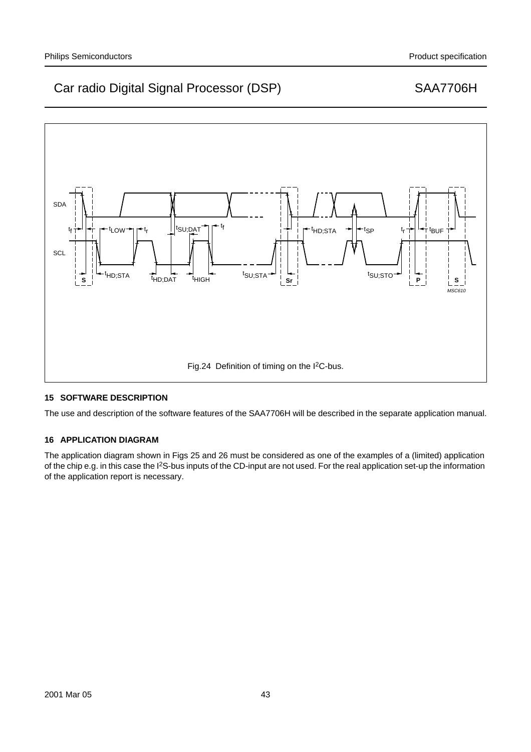

# **15 SOFTWARE DESCRIPTION**

The use and description of the software features of the SAA7706H will be described in the separate application manual.

# **16 APPLICATION DIAGRAM**

The application diagram shown in Figs 25 and 26 must be considered as one of the examples of a (limited) application of the chip e.g. in this case the I2S-bus inputs of the CD-input are not used. For the real application set-up the information of the application report is necessary.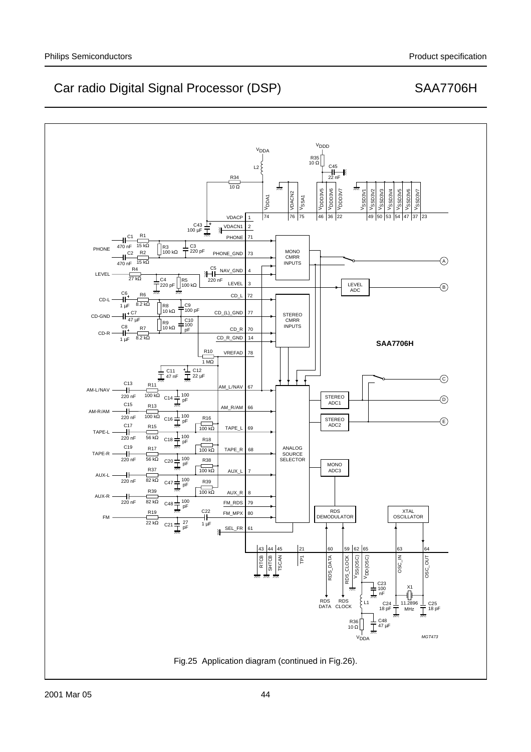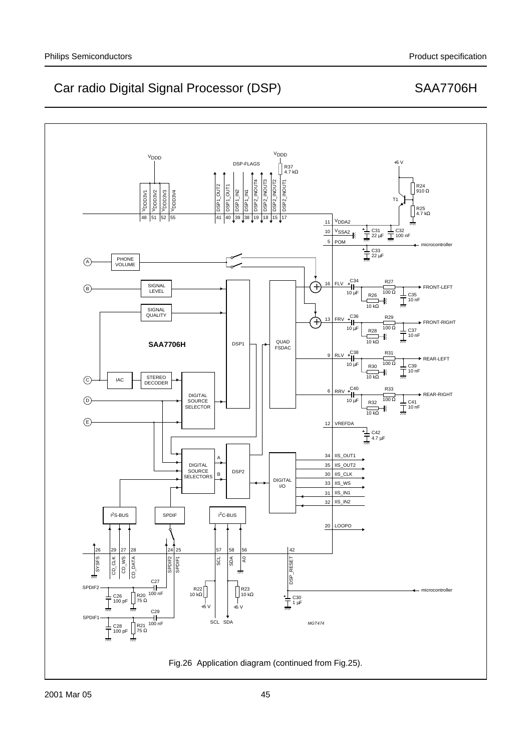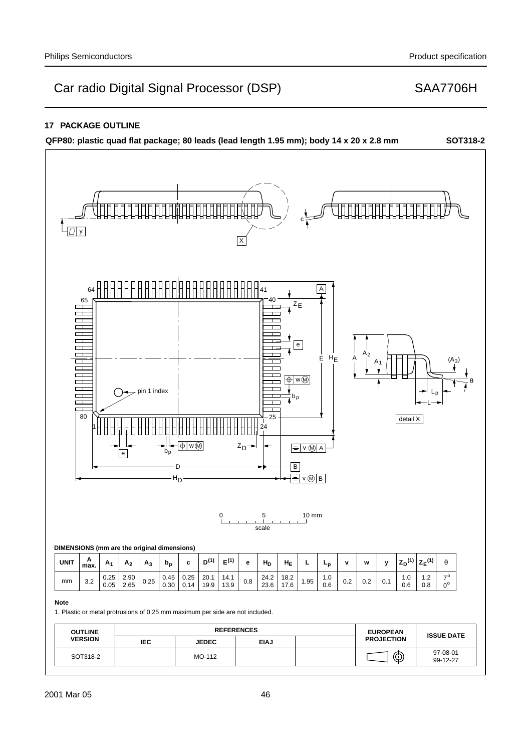# **17 PACKAGE OUTLINE**

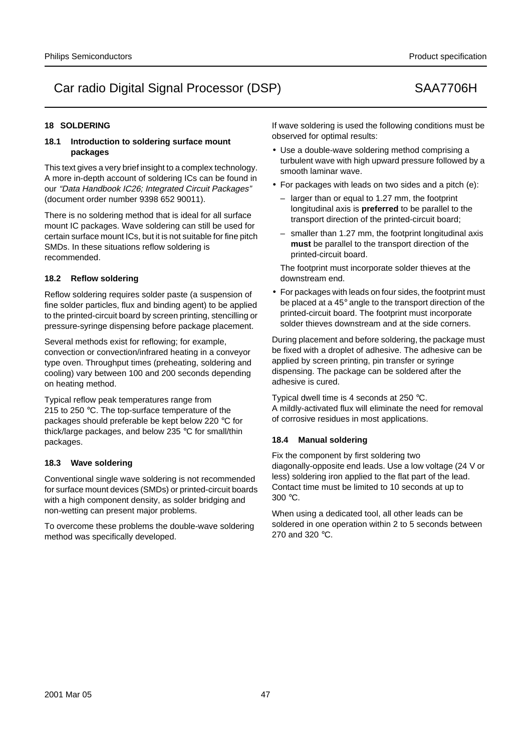# **18 SOLDERING**

## **18.1 Introduction to soldering surface mount packages**

This text gives a very brief insight to a complex technology. A more in-depth account of soldering ICs can be found in our "Data Handbook IC26; Integrated Circuit Packages" (document order number 9398 652 90011).

There is no soldering method that is ideal for all surface mount IC packages. Wave soldering can still be used for certain surface mount ICs, but it is not suitable for fine pitch SMDs. In these situations reflow soldering is recommended.

# **18.2 Reflow soldering**

Reflow soldering requires solder paste (a suspension of fine solder particles, flux and binding agent) to be applied to the printed-circuit board by screen printing, stencilling or pressure-syringe dispensing before package placement.

Several methods exist for reflowing; for example, convection or convection/infrared heating in a conveyor type oven. Throughput times (preheating, soldering and cooling) vary between 100 and 200 seconds depending on heating method.

Typical reflow peak temperatures range from 215 to 250 °C. The top-surface temperature of the packages should preferable be kept below 220 °C for thick/large packages, and below 235 °C for small/thin packages.

## **18.3 Wave soldering**

Conventional single wave soldering is not recommended for surface mount devices (SMDs) or printed-circuit boards with a high component density, as solder bridging and non-wetting can present major problems.

To overcome these problems the double-wave soldering method was specifically developed.

If wave soldering is used the following conditions must be observed for optimal results:

- Use a double-wave soldering method comprising a turbulent wave with high upward pressure followed by a smooth laminar wave.
- For packages with leads on two sides and a pitch (e):
	- larger than or equal to 1.27 mm, the footprint longitudinal axis is **preferred** to be parallel to the transport direction of the printed-circuit board;
	- smaller than 1.27 mm, the footprint longitudinal axis **must** be parallel to the transport direction of the printed-circuit board.

The footprint must incorporate solder thieves at the downstream end.

• For packages with leads on four sides, the footprint must be placed at a 45° angle to the transport direction of the printed-circuit board. The footprint must incorporate solder thieves downstream and at the side corners.

During placement and before soldering, the package must be fixed with a droplet of adhesive. The adhesive can be applied by screen printing, pin transfer or syringe dispensing. The package can be soldered after the adhesive is cured.

Typical dwell time is 4 seconds at 250 °C. A mildly-activated flux will eliminate the need for removal of corrosive residues in most applications.

## **18.4 Manual soldering**

Fix the component by first soldering two diagonally-opposite end leads. Use a low voltage (24 V or less) soldering iron applied to the flat part of the lead. Contact time must be limited to 10 seconds at up to 300 °C.

When using a dedicated tool, all other leads can be soldered in one operation within 2 to 5 seconds between 270 and 320 °C.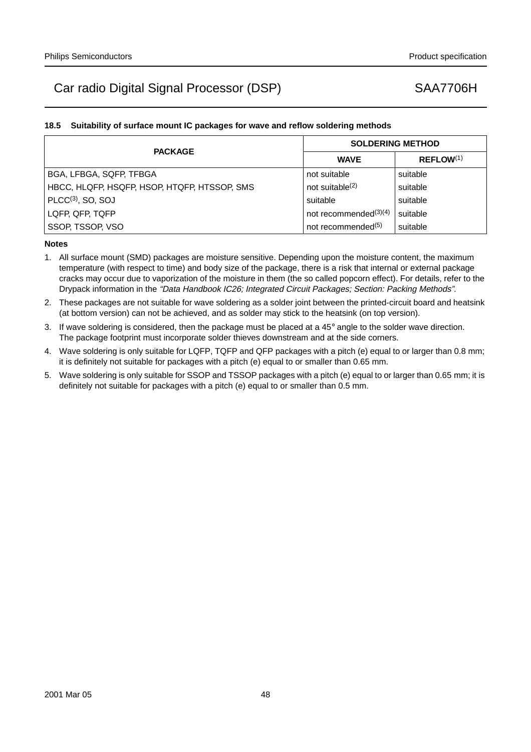# **18.5 Suitability of surface mount IC packages for wave and reflow soldering methods**

| <b>PACKAGE</b>                               | <b>SOLDERING METHOD</b>        |                       |  |  |
|----------------------------------------------|--------------------------------|-----------------------|--|--|
|                                              | <b>WAVE</b>                    | REFLOW <sup>(1)</sup> |  |  |
| BGA, LFBGA, SQFP, TFBGA                      | not suitable                   | suitable              |  |  |
| HBCC, HLQFP, HSQFP, HSOP, HTQFP, HTSSOP, SMS | not suitable $(2)$             | suitable              |  |  |
| $PLCC(3)$ , SO, SOJ                          | suitable                       | suitable              |  |  |
| LQFP, QFP, TQFP                              | not recommended $(3)(4)$       | suitable              |  |  |
| SSOP, TSSOP, VSO                             | not recommended <sup>(5)</sup> | suitable              |  |  |

## **Notes**

- 1. All surface mount (SMD) packages are moisture sensitive. Depending upon the moisture content, the maximum temperature (with respect to time) and body size of the package, there is a risk that internal or external package cracks may occur due to vaporization of the moisture in them (the so called popcorn effect). For details, refer to the Drypack information in the "Data Handbook IC26; Integrated Circuit Packages; Section: Packing Methods".
- 2. These packages are not suitable for wave soldering as a solder joint between the printed-circuit board and heatsink (at bottom version) can not be achieved, and as solder may stick to the heatsink (on top version).
- 3. If wave soldering is considered, then the package must be placed at a  $45^\circ$  angle to the solder wave direction. The package footprint must incorporate solder thieves downstream and at the side corners.
- 4. Wave soldering is only suitable for LQFP, TQFP and QFP packages with a pitch (e) equal to or larger than 0.8 mm; it is definitely not suitable for packages with a pitch (e) equal to or smaller than 0.65 mm.
- 5. Wave soldering is only suitable for SSOP and TSSOP packages with a pitch (e) equal to or larger than 0.65 mm; it is definitely not suitable for packages with a pitch (e) equal to or smaller than 0.5 mm.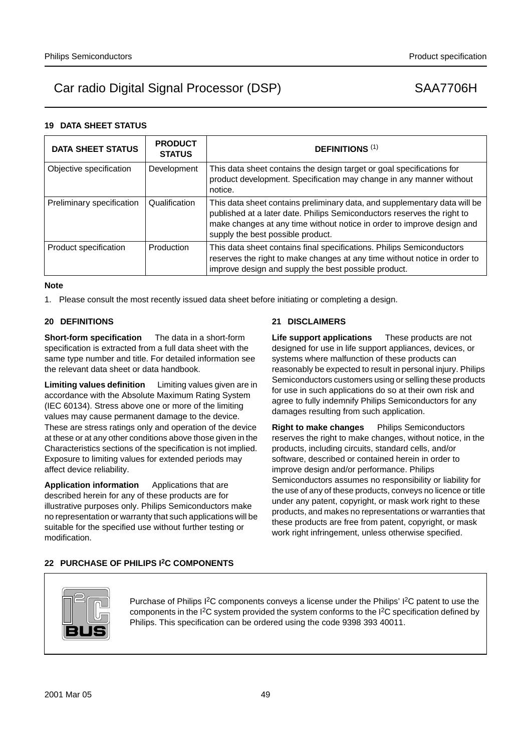# **19 DATA SHEET STATUS**

| <b>DATA SHEET STATUS</b>  | <b>PRODUCT</b><br><b>STATUS</b> | <b>DEFINITIONS (1)</b>                                                                                                                                                                                                                                              |
|---------------------------|---------------------------------|---------------------------------------------------------------------------------------------------------------------------------------------------------------------------------------------------------------------------------------------------------------------|
| Objective specification   | Development                     | This data sheet contains the design target or goal specifications for<br>product development. Specification may change in any manner without<br>notice.                                                                                                             |
| Preliminary specification | Qualification                   | This data sheet contains preliminary data, and supplementary data will be<br>published at a later date. Philips Semiconductors reserves the right to<br>make changes at any time without notice in order to improve design and<br>supply the best possible product. |
| Product specification     | Production                      | This data sheet contains final specifications. Philips Semiconductors<br>reserves the right to make changes at any time without notice in order to<br>improve design and supply the best possible product.                                                          |

## **Note**

1. Please consult the most recently issued data sheet before initiating or completing a design.

# **20 DEFINITIONS**

**Short-form specification** — The data in a short-form specification is extracted from a full data sheet with the same type number and title. For detailed information see the relevant data sheet or data handbook.

**Limiting values definition** — Limiting values given are in accordance with the Absolute Maximum Rating System (IEC 60134). Stress above one or more of the limiting values may cause permanent damage to the device. These are stress ratings only and operation of the device at these or at any other conditions above those given in the Characteristics sections of the specification is not implied. Exposure to limiting values for extended periods may affect device reliability.

Application information – Applications that are described herein for any of these products are for illustrative purposes only. Philips Semiconductors make no representation or warranty that such applications will be suitable for the specified use without further testing or modification.

# **21 DISCLAIMERS**

**Life support applications** — These products are not designed for use in life support appliances, devices, or systems where malfunction of these products can reasonably be expected to result in personal injury. Philips Semiconductors customers using or selling these products for use in such applications do so at their own risk and agree to fully indemnify Philips Semiconductors for any damages resulting from such application.

**Right to make changes** - Philips Semiconductors reserves the right to make changes, without notice, in the products, including circuits, standard cells, and/or software, described or contained herein in order to improve design and/or performance. Philips Semiconductors assumes no responsibility or liability for the use of any of these products, conveys no licence or title under any patent, copyright, or mask work right to these products, and makes no representations or warranties that these products are free from patent, copyright, or mask work right infringement, unless otherwise specified.

## **22 PURCHASE OF PHILIPS I2C COMPONENTS**



Purchase of Philips I<sup>2</sup>C components conveys a license under the Philips' I<sup>2</sup>C patent to use the components in the I2C system provided the system conforms to the I2C specification defined by Philips. This specification can be ordered using the code 9398 393 40011.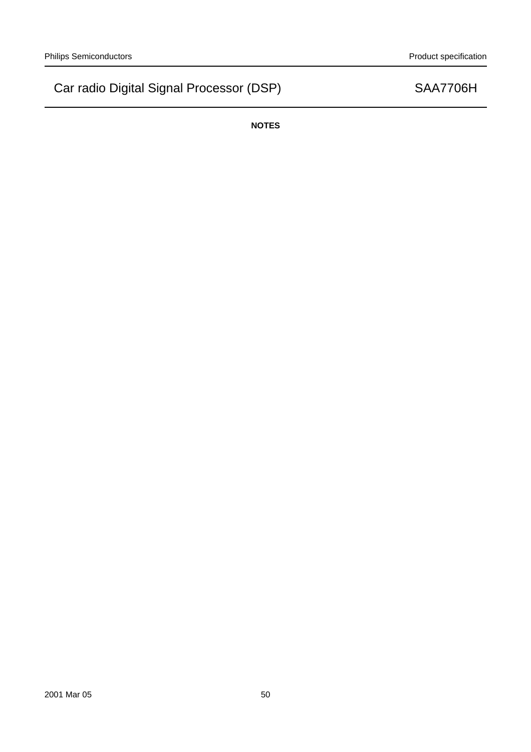**NOTES**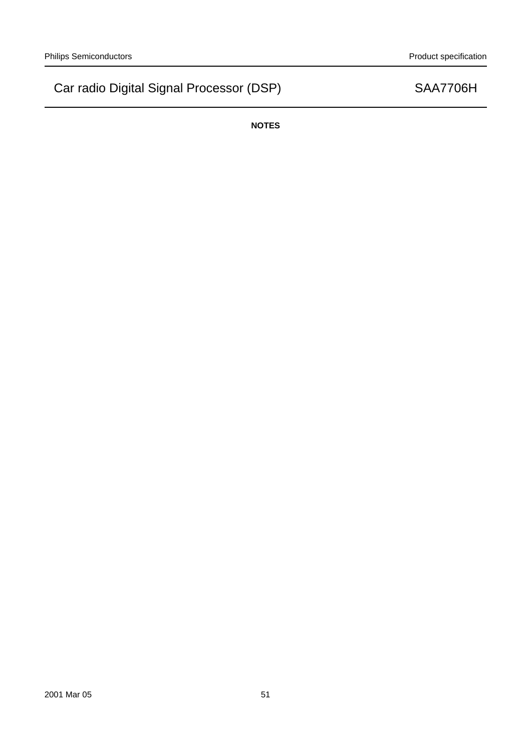**NOTES**